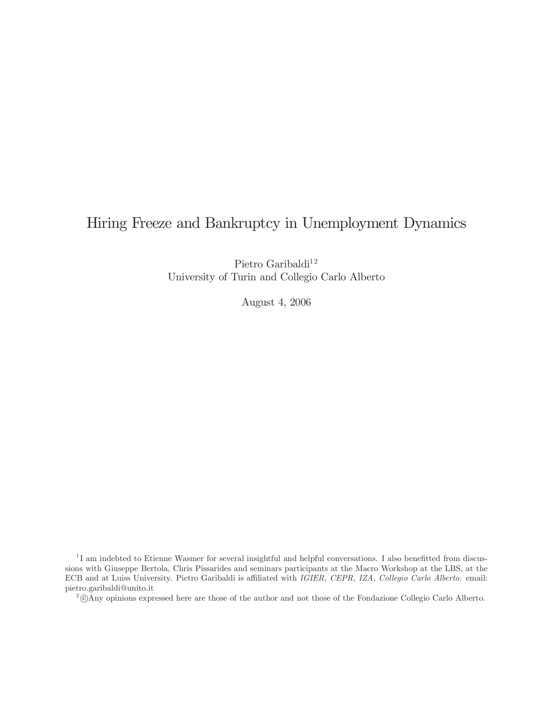## Hiring Freeze and Bankruptcy in Unemployment Dynamics

Pietro Garibaldi $^{12}$ University of Turin and Collegio Carlo Alberto

August 4, 2006

<sup>1</sup>I am indebted to Etienne Wasmer for several insightful and helpful conversations. I also benefitted from discussions with Giuseppe Bertola, Chris Pissarides and seminars participants at the Macro Workshop at the LBS, at the ECB and at Luiss University. Pietro Garibaldi is affiliated with IGIER, CEPR, IZA, Collegio Carlo Alberto. email: pietro.garibaldi@unito.it

<sup>2</sup>°<sup>c</sup> Any opinions expressed here are those of the author and not those of the Fondazione Collegio Carlo Alberto.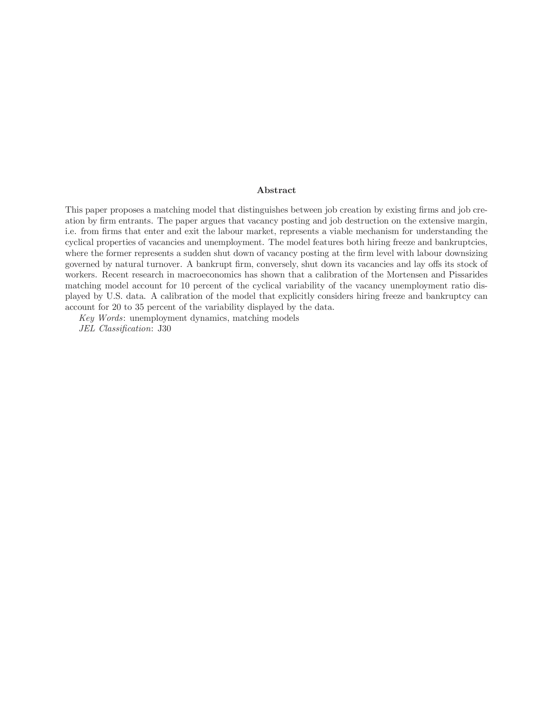#### Abstract

This paper proposes a matching model that distinguishes between job creation by existing firms and job creation by firm entrants. The paper argues that vacancy posting and job destruction on the extensive margin, i.e. from firms that enter and exit the labour market, represents a viable mechanism for understanding the cyclical properties of vacancies and unemployment. The model features both hiring freeze and bankruptcies, where the former represents a sudden shut down of vacancy posting at the firm level with labour downsizing governed by natural turnover. A bankrupt firm, conversely, shut down its vacancies and lay offs its stock of workers. Recent research in macroeconomics has shown that a calibration of the Mortensen and Pissarides matching model account for 10 percent of the cyclical variability of the vacancy unemployment ratio displayed by U.S. data. A calibration of the model that explicitly considers hiring freeze and bankruptcy can account for 20 to 35 percent of the variability displayed by the data.

Key Words: unemployment dynamics, matching models JEL Classification: J30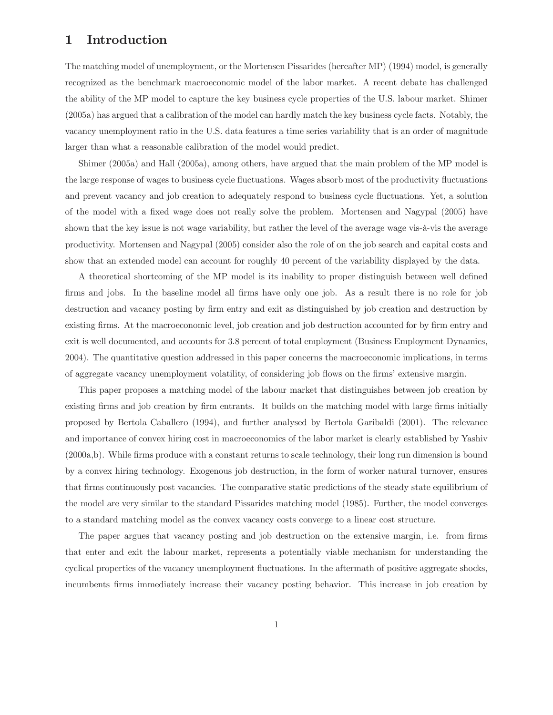## 1 Introduction

The matching model of unemployment, or the Mortensen Pissarides (hereafter MP) (1994) model, is generally recognized as the benchmark macroeconomic model of the labor market. A recent debate has challenged the ability of the MP model to capture the key business cycle properties of the U.S. labour market. Shimer (2005a) has argued that a calibration of the model can hardly match the key business cycle facts. Notably, the vacancy unemployment ratio in the U.S. data features a time series variability that is an order of magnitude larger than what a reasonable calibration of the model would predict.

Shimer (2005a) and Hall (2005a), among others, have argued that the main problem of the MP model is the large response of wages to business cycle fluctuations. Wages absorb most of the productivity fluctuations and prevent vacancy and job creation to adequately respond to business cycle fluctuations. Yet, a solution of the model with a fixed wage does not really solve the problem. Mortensen and Nagypal (2005) have shown that the key issue is not wage variability, but rather the level of the average wage vis-à-vis the average productivity. Mortensen and Nagypal (2005) consider also the role of on the job search and capital costs and show that an extended model can account for roughly 40 percent of the variability displayed by the data.

A theoretical shortcoming of the MP model is its inability to proper distinguish between well defined firms and jobs. In the baseline model all firms have only one job. As a result there is no role for job destruction and vacancy posting by firm entry and exit as distinguished by job creation and destruction by existing firms. At the macroeconomic level, job creation and job destruction accounted for by firm entry and exit is well documented, and accounts for 3.8 percent of total employment (Business Employment Dynamics, 2004). The quantitative question addressed in this paper concerns the macroeconomic implications, in terms of aggregate vacancy unemployment volatility, of considering job flows on the firms' extensive margin.

This paper proposes a matching model of the labour market that distinguishes between job creation by existing firms and job creation by firm entrants. It builds on the matching model with large firms initially proposed by Bertola Caballero (1994), and further analysed by Bertola Garibaldi (2001). The relevance and importance of convex hiring cost in macroeconomics of the labor market is clearly established by Yashiv (2000a,b). While firms produce with a constant returns to scale technology, their long run dimension is bound by a convex hiring technology. Exogenous job destruction, in the form of worker natural turnover, ensures that firms continuously post vacancies. The comparative static predictions of the steady state equilibrium of the model are very similar to the standard Pissarides matching model (1985). Further, the model converges to a standard matching model as the convex vacancy costs converge to a linear cost structure.

The paper argues that vacancy posting and job destruction on the extensive margin, i.e. from firms that enter and exit the labour market, represents a potentially viable mechanism for understanding the cyclical properties of the vacancy unemployment fluctuations. In the aftermath of positive aggregate shocks, incumbents firms immediately increase their vacancy posting behavior. This increase in job creation by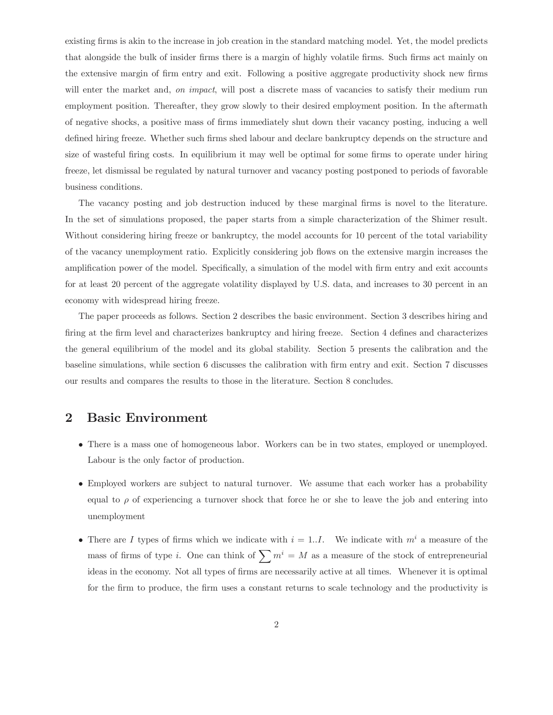existing firms is akin to the increase in job creation in the standard matching model. Yet, the model predicts that alongside the bulk of insider firms there is a margin of highly volatile firms. Such firms act mainly on the extensive margin of firm entry and exit. Following a positive aggregate productivity shock new firms will enter the market and, on impact, will post a discrete mass of vacancies to satisfy their medium run employment position. Thereafter, they grow slowly to their desired employment position. In the aftermath of negative shocks, a positive mass of firms immediately shut down their vacancy posting, inducing a well defined hiring freeze. Whether such firms shed labour and declare bankruptcy depends on the structure and size of wasteful firing costs. In equilibrium it may well be optimal for some firms to operate under hiring freeze, let dismissal be regulated by natural turnover and vacancy posting postponed to periods of favorable business conditions.

The vacancy posting and job destruction induced by these marginal firms is novel to the literature. In the set of simulations proposed, the paper starts from a simple characterization of the Shimer result. Without considering hiring freeze or bankruptcy, the model accounts for 10 percent of the total variability of the vacancy unemployment ratio. Explicitly considering job flows on the extensive margin increases the amplification power of the model. Specifically, a simulation of the model with firm entry and exit accounts for at least 20 percent of the aggregate volatility displayed by U.S. data, and increases to 30 percent in an economy with widespread hiring freeze.

The paper proceeds as follows. Section 2 describes the basic environment. Section 3 describes hiring and firing at the firm level and characterizes bankruptcy and hiring freeze. Section 4 defines and characterizes the general equilibrium of the model and its global stability. Section 5 presents the calibration and the baseline simulations, while section 6 discusses the calibration with firm entry and exit. Section 7 discusses our results and compares the results to those in the literature. Section 8 concludes.

## 2 Basic Environment

- There is a mass one of homogeneous labor. Workers can be in two states, employed or unemployed. Labour is the only factor of production.
- Employed workers are subject to natural turnover. We assume that each worker has a probability equal to  $\rho$  of experiencing a turnover shock that force he or she to leave the job and entering into unemployment
- There are I types of firms which we indicate with  $i = 1..I$ . We indicate with  $m<sup>i</sup>$  a measure of the mass of firms of type i. One can think of  $\sum m^i = M$  as a measure of the stock of entrepreneurial ideas in the economy. Not all types of firms are necessarily active at all times. Whenever it is optimal for the firm to produce, the firm uses a constant returns to scale technology and the productivity is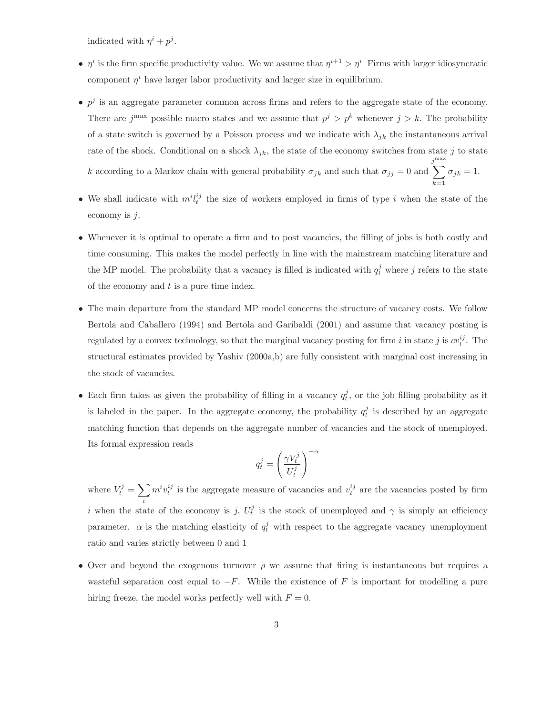indicated with  $\eta^i + p^j$ .

- $\eta^i$  is the firm specific productivity value. We we assume that  $\eta^{i+1} > \eta^i$  Firms with larger idiosyncratic component  $\eta^i$  have larger labor productivity and larger size in equilibrium.
- $p^j$  is an aggregate parameter common across firms and refers to the aggregate state of the economy. There are j<sup>max</sup> possible macro states and we assume that  $p^j > p^k$  whenever  $j > k$ . The probability of a state switch is governed by a Poisson process and we indicate with  $\lambda_{jk}$  the instantaneous arrival rate of the shock. Conditional on a shock  $\lambda_{jk}$ , the state of the economy switches from state j to state k according to a Markov chain with general probability  $\sigma_{jk}$  and such that  $\sigma_{jj} = 0$  and  $\sum^{\text{max}}$  $\sigma_{jk} = 1.$
- We shall indicate with  $m^i l_t^{ij}$  the size of workers employed in firms of type i when the state of the economy is  $j$ .

 $k=1$ 

- Whenever it is optimal to operate a firm and to post vacancies, the filling of jobs is both costly and time consuming. This makes the model perfectly in line with the mainstream matching literature and the MP model. The probability that a vacancy is filled is indicated with  $q_t^j$  where j refers to the state of the economy and  $t$  is a pure time index.
- The main departure from the standard MP model concerns the structure of vacancy costs. We follow Bertola and Caballero (1994) and Bertola and Garibaldi (2001) and assume that vacancy posting is regulated by a convex technology, so that the marginal vacancy posting for firm i in state j is  $cv_t^{ij}$ . The structural estimates provided by Yashiv (2000a,b) are fully consistent with marginal cost increasing in the stock of vacancies.
- Each firm takes as given the probability of filling in a vacancy  $q_t^j$ , or the job filling probability as it is labeled in the paper. In the aggregate economy, the probability  $q_t^j$  is described by an aggregate matching function that depends on the aggregate number of vacancies and the stock of unemployed. Its formal expression reads  $\cdot \alpha$

$$
q_t^j = \left(\frac{\gamma V_t^j}{U_t^j}\right)^{-}
$$

where  $V_t^j = \sum$ i  $m^{i}v_{t}^{ij}$  is the aggregate measure of vacancies and  $v_{t}^{ij}$  are the vacancies posted by firm i when the state of the economy is j.  $U_t^j$  is the stock of unemployed and  $\gamma$  is simply an efficiency parameter.  $\alpha$  is the matching elasticity of  $q_t^j$  with respect to the aggregate vacancy unemployment ratio and varies strictly between 0 and 1

• Over and beyond the exogenous turnover  $\rho$  we assume that firing is instantaneous but requires a wasteful separation cost equal to  $-F$ . While the existence of F is important for modelling a pure hiring freeze, the model works perfectly well with  $F = 0$ .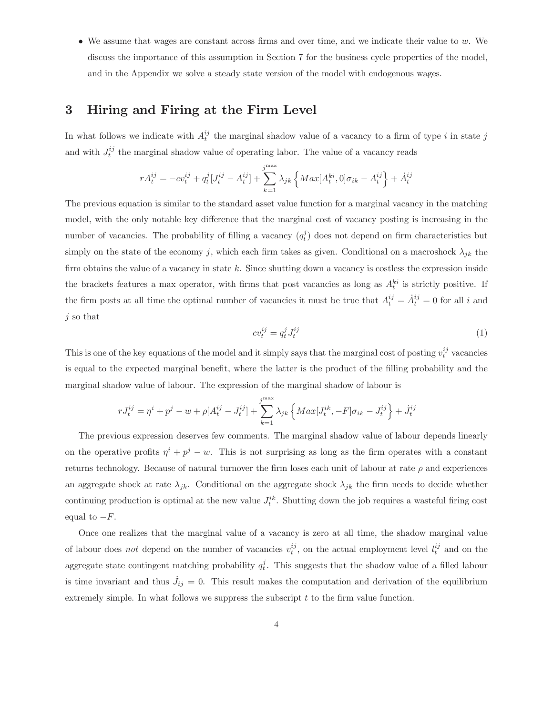• We assume that wages are constant across firms and over time, and we indicate their value to  $w$ . We discuss the importance of this assumption in Section 7 for the business cycle properties of the model, and in the Appendix we solve a steady state version of the model with endogenous wages.

## 3 Hiring and Firing at the Firm Level

In what follows we indicate with  $A_t^{ij}$  the marginal shadow value of a vacancy to a firm of type i in state j and with  $J_t^{ij}$  the marginal shadow value of operating labor. The value of a vacancy reads

$$
rA_t^{ij} = -cv_t^{ij} + q_t^j[J_t^{ij} - A_t^{ij}] + \sum_{k=1}^{j^{\max}} \lambda_{jk} \left\{ Max[A_t^{ki}, 0] \sigma_{ik} - A_t^{ij} \right\} + \dot{A}_t^{ij}
$$

The previous equation is similar to the standard asset value function for a marginal vacancy in the matching model, with the only notable key difference that the marginal cost of vacancy posting is increasing in the number of vacancies. The probability of filling a vacancy  $(q_t^j)$  does not depend on firm characteristics but simply on the state of the economy j, which each firm takes as given. Conditional on a macroshock  $\lambda_{jk}$  the firm obtains the value of a vacancy in state k. Since shutting down a vacancy is costless the expression inside the brackets features a max operator, with firms that post vacancies as long as  $A_t^{ki}$  is strictly positive. If the firm posts at all time the optimal number of vacancies it must be true that  $A_t^{ij} = \dot{A}_t^{ij} = 0$  for all i and j so that

$$
cv_t^{ij} = q_t^j J_t^{ij} \tag{1}
$$

This is one of the key equations of the model and it simply says that the marginal cost of posting  $v_t^{ij}$  vacancies is equal to the expected marginal benefit, where the latter is the product of the filling probability and the marginal shadow value of labour. The expression of the marginal shadow of labour is

$$
rJ_t^{ij} = \eta^i + p^j - w + \rho[A_t^{ij} - J_t^{ij}] + \sum_{k=1}^{j^{\max}} \lambda_{jk} \left\{ Max[J_t^{ik}, -F] \sigma_{ik} - J_t^{ij} \right\} + J_t^{ij}
$$

The previous expression deserves few comments. The marginal shadow value of labour depends linearly on the operative profits  $\eta^{i} + p^{j} - w$ . This is not surprising as long as the firm operates with a constant returns technology. Because of natural turnover the firm loses each unit of labour at rate  $\rho$  and experiences an aggregate shock at rate  $\lambda_{jk}$ . Conditional on the aggregate shock  $\lambda_{jk}$  the firm needs to decide whether continuing production is optimal at the new value  $J_t^{ik}$ . Shutting down the job requires a wasteful firing cost equal to  $-F$ .

Once one realizes that the marginal value of a vacancy is zero at all time, the shadow marginal value of labour does *not* depend on the number of vacancies  $v_t^{ij}$ , on the actual employment level  $l_t^{ij}$  and on the aggregate state contingent matching probability  $q_t^j$ . This suggests that the shadow value of a filled labour is time invariant and thus  $\dot{J}_{ij} = 0$ . This result makes the computation and derivation of the equilibrium extremely simple. In what follows we suppress the subscript  $t$  to the firm value function.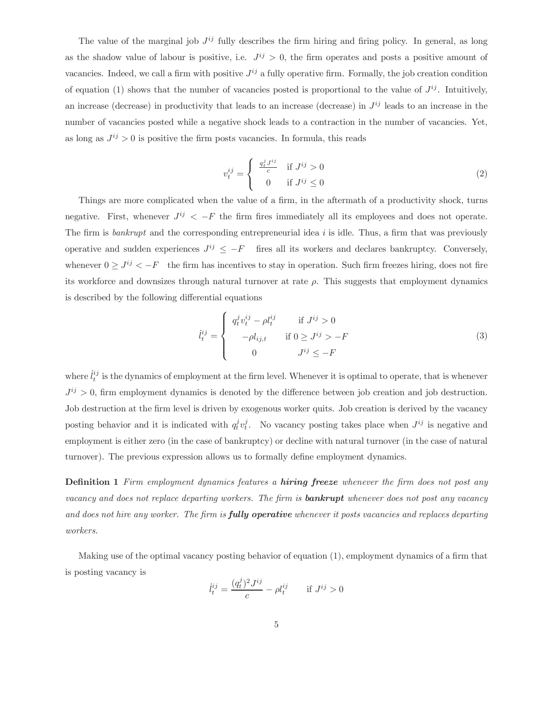The value of the marginal job  $J^{ij}$  fully describes the firm hiring and firing policy. In general, as long as the shadow value of labour is positive, i.e.  $J^{ij} > 0$ , the firm operates and posts a positive amount of vacancies. Indeed, we call a firm with positive  $J^{ij}$  a fully operative firm. Formally, the job creation condition of equation (1) shows that the number of vacancies posted is proportional to the value of  $J^{ij}$ . Intuitively, an increase (decrease) in productivity that leads to an increase (decrease) in  $J^{ij}$  leads to an increase in the number of vacancies posted while a negative shock leads to a contraction in the number of vacancies. Yet, as long as  $J^{ij} > 0$  is positive the firm posts vacancies. In formula, this reads

$$
v_t^{ij} = \begin{cases} \frac{q_t^j J^{ij}}{c} & \text{if } J^{ij} > 0\\ 0 & \text{if } J^{ij} \le 0 \end{cases}
$$
 (2)

Things are more complicated when the value of a firm, in the aftermath of a productivity shock, turns negative. First, whenever  $J^{ij} < -F$  the firm fires immediately all its employees and does not operate. The firm is *bankrupt* and the corresponding entrepreneurial idea  $i$  is idle. Thus, a firm that was previously operative and sudden experiences  $J^{ij} \leq -F$  fires all its workers and declares bankruptcy. Conversely, whenever  $0 \geq J^{ij} < -F$  the firm has incentives to stay in operation. Such firm freezes hiring, does not fire its workforce and downsizes through natural turnover at rate  $\rho$ . This suggests that employment dynamics is described by the following differential equations

$$
\dot{l}_t^{ij} = \begin{cases}\n q_t^j v_t^{ij} - \rho l_t^{ij} & \text{if } J^{ij} > 0 \\
-\rho l_{ij,t} & \text{if } 0 \ge J^{ij} > -F \\
0 & J^{ij} \le -F\n\end{cases}
$$
\n(3)

where  $\ddot{l}^{ij}_t$  is the dynamics of employment at the firm level. Whenever it is optimal to operate, that is whenever  $J^{ij} > 0$ , firm employment dynamics is denoted by the difference between job creation and job destruction. Job destruction at the firm level is driven by exogenous worker quits. Job creation is derived by the vacancy posting behavior and it is indicated with  $q_t^j v_t^j$ . No vacancy posting takes place when  $J^{ij}$  is negative and employment is either zero (in the case of bankruptcy) or decline with natural turnover (in the case of natural turnover). The previous expression allows us to formally define employment dynamics.

**Definition 1** Firm employment dynamics features a **hiring freeze** whenever the firm does not post any vacancy and does not replace departing workers. The firm is **bankrupt** whenever does not post any vacancy and does not hire any worker. The firm is **fully operative** whenever it posts vacancies and replaces departing workers.

Making use of the optimal vacancy posting behavior of equation (1), employment dynamics of a firm that is posting vacancy is

$$
\dot{l}_t^{ij} = \frac{(q_t^j)^2 J^{ij}}{c} - \rho l_t^{ij} \quad \text{if } J^{ij} > 0
$$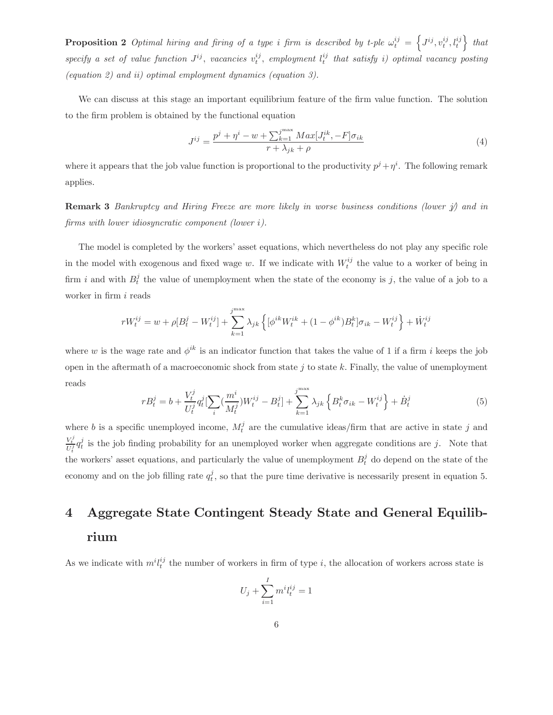**Proposition 2** Optimal hiring and firing of a type i firm is described by t-ple  $\omega_t^{ij} = \left\{ J^{ij}, v_t^{ij}, l_t^{ij} \right\}$  that specify a set of value function  $J^{ij}$ , vacancies  $v_t^{ij}$ , employment  $l_t^{ij}$  that satisfy i) optimal vacancy posting (equation 2) and ii) optimal employment dynamics (equation 3).

We can discuss at this stage an important equilibrium feature of the firm value function. The solution to the firm problem is obtained by the functional equation

$$
J^{ij} = \frac{p^j + \eta^i - w + \sum_{k=1}^{j^{\max}} Max[J_t^{ik}, -F] \sigma_{ik}}{r + \lambda_{jk} + \rho}
$$
\n
$$
(4)
$$

where it appears that the job value function is proportional to the productivity  $p^j + \eta^i$ . The following remark applies.

**Remark 3** Bankruptcy and Hiring Freeze are more likely in worse business conditions (lower  $\hat{y}$ ) and in firms with lower idiosyncratic component (lower i).

The model is completed by the workers' asset equations, which nevertheless do not play any specific role in the model with exogenous and fixed wage w. If we indicate with  $W_t^{ij}$  the value to a worker of being in firm i and with  $B_t^j$  the value of unemployment when the state of the economy is j, the value of a job to a worker in firm i reads

$$
rW_t^{ij} = w + \rho[B_t^j - W_t^{ij}] + \sum_{k=1}^{j^{\max}} \lambda_{jk} \left\{ [\phi^{ik} W_t^{ik} + (1 - \phi^{ik}) B_t^k] \sigma_{ik} - W_t^{ij} \right\} + \dot{W}_t^{ij}
$$

where w is the wage rate and  $\phi^{ik}$  is an indicator function that takes the value of 1 if a firm i keeps the job open in the aftermath of a macroeconomic shock from state  $j$  to state  $k$ . Finally, the value of unemployment reads

$$
rB_t^j = b + \frac{V_t^j}{U_t^j} q_t^j \left[ \sum_i \left( \frac{m^i}{M_t^j} \right) W_t^{ij} - B_t^j \right] + \sum_{k=1}^{j^{\max}} \lambda_{jk} \left\{ B_t^k \sigma_{ik} - W_t^{ij} \right\} + \dot{B}_t^j \tag{5}
$$

where b is a specific unemployed income,  $M_t^j$  are the cumulative ideas/firm that are active in state j and  $\frac{V_t^j}{U_t^j} q_t^j$  is the job finding probability for an unemployed worker when aggregate conditions are j. Note that the workers' asset equations, and particularly the value of unemployment  $B_t^j$  do depend on the state of the economy and on the job filling rate  $q_t^j$ , so that the pure time derivative is necessarily present in equation 5.

# 4 Aggregate State Contingent Steady State and General Equilibrium

As we indicate with  $m^{i}l^{ij}_{t}$  the number of workers in firm of type i, the allocation of workers across state is

$$
U_j + \sum_{i=1}^I m^i l_t^{ij} = 1
$$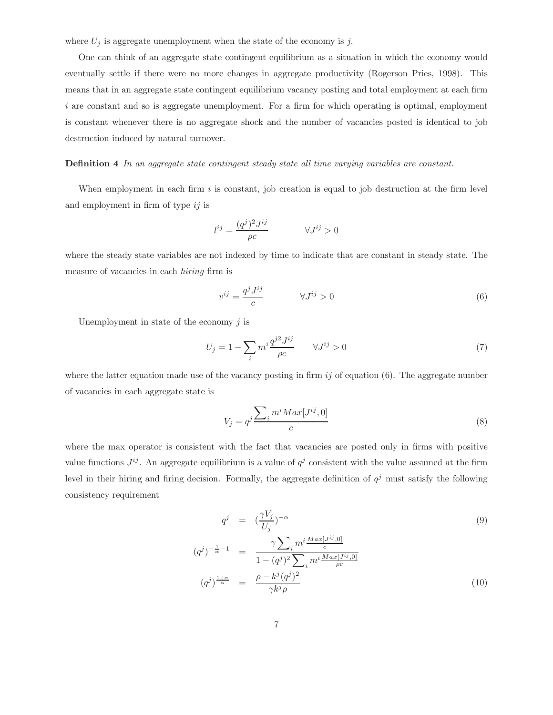where  $U_j$  is aggregate unemployment when the state of the economy is j.

One can think of an aggregate state contingent equilibrium as a situation in which the economy would eventually settle if there were no more changes in aggregate productivity (Rogerson Pries, 1998). This means that in an aggregate state contingent equilibrium vacancy posting and total employment at each firm  $i$  are constant and so is aggregate unemployment. For a firm for which operating is optimal, employment is constant whenever there is no aggregate shock and the number of vacancies posted is identical to job destruction induced by natural turnover.

Definition 4 In an aggregate state contingent steady state all time varying variables are constant.

When employment in each firm  $i$  is constant, job creation is equal to job destruction at the firm level and employment in firm of type  $ij$  is

$$
l^{ij} = \frac{(q^j)^2 J^{ij}}{\rho c} \qquad \forall J^{ij} > 0
$$

where the steady state variables are not indexed by time to indicate that are constant in steady state. The measure of vacancies in each hiring firm is

$$
v^{ij} = \frac{q^j J^{ij}}{c} \qquad \forall J^{ij} > 0 \tag{6}
$$

Unemployment in state of the economy  $j$  is

 $\left(\right)$ 

$$
U_j = 1 - \sum_i m^i \frac{q^{j2} J^{ij}}{\rho c} \qquad \forall J^{ij} > 0 \tag{7}
$$

where the latter equation made use of the vacancy posting in firm  $ij$  of equation (6). The aggregate number of vacancies in each aggregate state is

$$
V_j = q^j \frac{\sum_i m^i M a x [J^{ij}, 0]}{c} \tag{8}
$$

where the max operator is consistent with the fact that vacancies are posted only in firms with positive value functions  $J^{ij}$ . An aggregate equilibrium is a value of  $q^j$  consistent with the value assumed at the firm level in their hiring and firing decision. Formally, the aggregate definition of  $q<sup>j</sup>$  must satisfy the following consistency requirement

$$
q^{j} = \left(\frac{\gamma V_{j}}{U_{j}}\right)^{-\alpha} \tag{9}
$$
\n
$$
q^{j})^{-\frac{1}{\alpha}-1} = \frac{\gamma \sum_{i} m^{i} \frac{Max[J^{ij},0]}{c}}{1 - (q^{j})^{2} \sum_{i} m^{i} \frac{Max[J^{ij},0]}{\rho c}}
$$
\n
$$
(q^{j})^{\frac{1+\alpha}{\alpha}} = \frac{\rho - k^{j}(q^{j})^{2}}{\gamma k^{j} \rho} \tag{10}
$$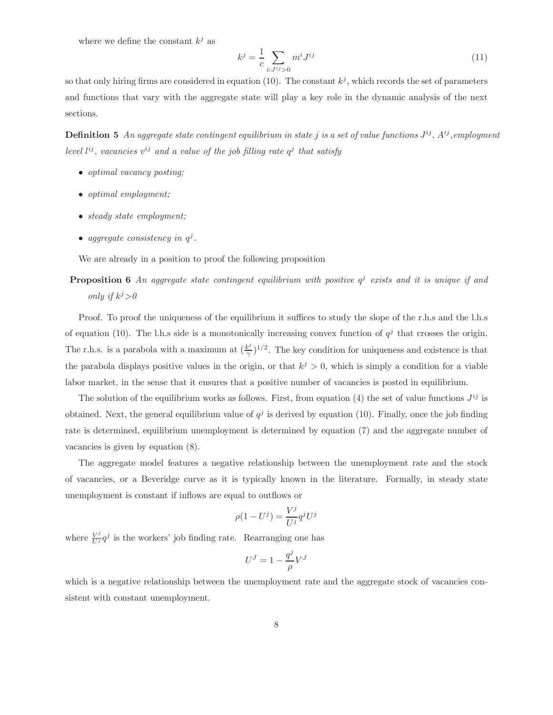where we define the constant  $k^j$  as

$$
k^{j} = \frac{1}{c} \sum_{i:J^{ij} > 0} m^{i} J^{ij}
$$
 (11)

so that only hiring firms are considered in equation (10). The constant  $k^{j}$ , which records the set of parameters and functions that vary with the aggregate state will play a key role in the dynamic analysis of the next sections.

**Definition 5** An aggregate state contingent equilibrium in state j is a set of value functions  $J^{ij}$ ,  $A^{ij}$ , employment level  $l^{ij}$ , vacancies  $v^{ij}$  and a value of the job filling rate  $q^j$  that satisfy

- optimal vacancy posting;
- optimal employment;
- *steady state employment*;
- aggregate consistency in  $q^j$ .

We are already in a position to proof the following proposition

## **Proposition 6** An aggregate state contingent equilibrium with positive  $q^j$  exists and it is unique if and only if  $k^j>0$

Proof. To proof the uniqueness of the equilibrium it suffices to study the slope of the r.h.s and the l.h.s of equation (10). The l.h.s side is a monotonically increasing convex function of  $q^j$  that crosses the origin. The r.h.s. is a parabola with a maximum at  $(\frac{k^j}{\gamma})^{1/2}$ . The key condition for uniqueness and existence is that the parabola displays positive values in the origin, or that  $k^j > 0$ , which is simply a condition for a viable labor market, in the sense that it ensures that a positive number of vacancies is posted in equilibrium.

The solution of the equilibrium works as follows. First, from equation (4) the set of value functions  $J^{ij}$  is obtained. Next, the general equilibrium value of  $q<sup>j</sup>$  is derived by equation (10). Finally, once the job finding rate is determined, equilibrium unemployment is determined by equation (7) and the aggregate number of vacancies is given by equation (8).

The aggregate model features a negative relationship between the unemployment rate and the stock of vacancies, or a Beveridge curve as it is typically known in the literature. Formally, in steady state unemployment is constant if inflows are equal to outflows or

$$
\rho(1 - U^j) = \frac{V^j}{U^j} q^j U^j
$$

where  $\frac{V^j}{U^j}q^j$  is the workers' job finding rate. Rearranging one has

$$
U^J=1-\frac{q^j}{\rho}V^J
$$

which is a negative relationship between the unemployment rate and the aggregate stock of vacancies consistent with constant unemployment.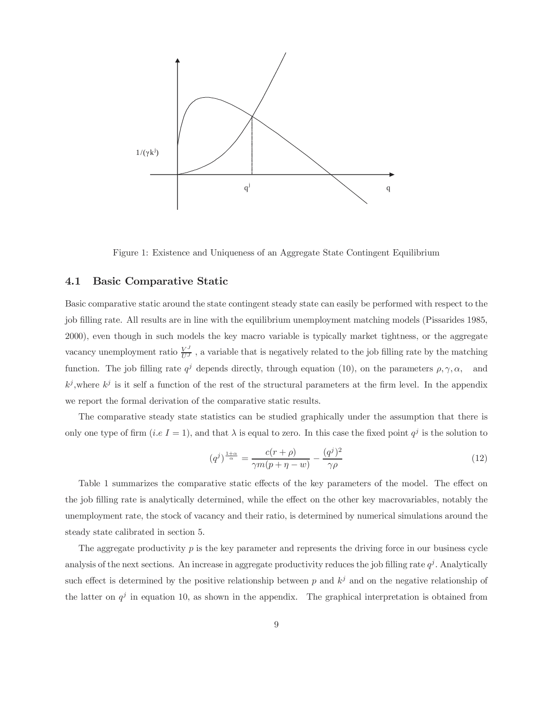

Figure 1: Existence and Uniqueness of an Aggregate State Contingent Equilibrium

#### 4.1 Basic Comparative Static

Basic comparative static around the state contingent steady state can easily be performed with respect to the job filling rate. All results are in line with the equilibrium unemployment matching models (Pissarides 1985, 2000), even though in such models the key macro variable is typically market tightness, or the aggregate vacancy unemployment ratio  $\frac{V^J}{U^J}$ , a variable that is negatively related to the job filling rate by the matching function. The job filling rate  $q^j$  depends directly, through equation (10), on the parameters  $\rho, \gamma, \alpha$ , and  $k^j$ , where  $k^j$  is it self a function of the rest of the structural parameters at the firm level. In the appendix we report the formal derivation of the comparative static results.

The comparative steady state statistics can be studied graphically under the assumption that there is only one type of firm (i.e I = 1), and that  $\lambda$  is equal to zero. In this case the fixed point  $q^j$  is the solution to

$$
(q^j)^{\frac{1+\alpha}{\alpha}} = \frac{c(r+\rho)}{\gamma m(p+\eta - w)} - \frac{(q^j)^2}{\gamma \rho} \tag{12}
$$

Table 1 summarizes the comparative static effects of the key parameters of the model. The effect on the job filling rate is analytically determined, while the effect on the other key macrovariables, notably the unemployment rate, the stock of vacancy and their ratio, is determined by numerical simulations around the steady state calibrated in section 5.

The aggregate productivity  $p$  is the key parameter and represents the driving force in our business cycle analysis of the next sections. An increase in aggregate productivity reduces the job filling rate  $q<sup>j</sup>$ . Analytically such effect is determined by the positive relationship between p and  $k<sup>j</sup>$  and on the negative relationship of the latter on  $q<sup>j</sup>$  in equation 10, as shown in the appendix. The graphical interpretation is obtained from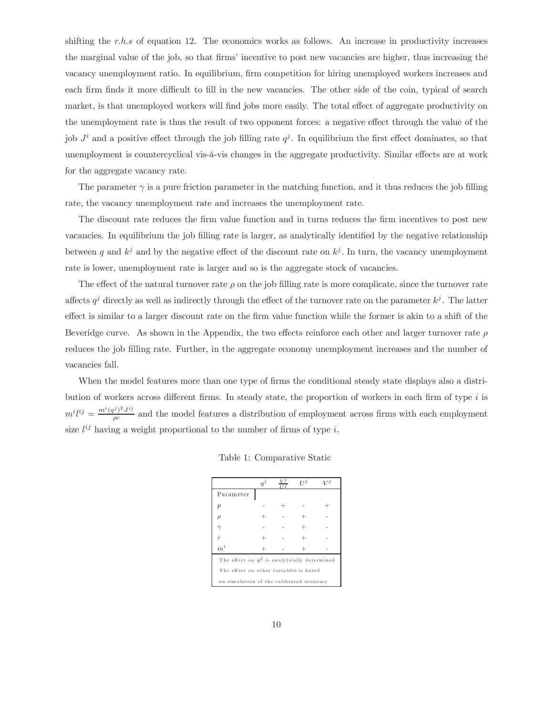shifting the r.h.s of equation 12. The economics works as follows. An increase in productivity increases the marginal value of the job, so that firms' incentive to post new vacancies are higher, thus increasing the vacancy unemployment ratio. In equilibrium, firm competition for hiring unemployed workers increases and each firm finds it more difficult to fill in the new vacancies. The other side of the coin, typical of search market, is that unemployed workers will find jobs more easily. The total effect of aggregate productivity on the unemployment rate is thus the result of two opponent forces: a negative effect through the value of the job  $J^i$  and a positive effect through the job filling rate  $q^j$ . In equilibrium the first effect dominates, so that unemployment is countercyclical vis-à-vis changes in the aggregate productivity. Similar effects are at work for the aggregate vacancy rate.

The parameter  $\gamma$  is a pure friction parameter in the matching function, and it thus reduces the job filling rate, the vacancy unemployment rate and increases the unemployment rate.

The discount rate reduces the firm value function and in turns reduces the firm incentives to post new vacancies. In equilibrium the job filling rate is larger, as analytically identified by the negative relationship between q and  $k^j$  and by the negative effect of the discount rate on  $k^j$ . In turn, the vacancy unemployment rate is lower, unemployment rate is larger and so is the aggregate stock of vacancies.

The effect of the natural turnover rate  $\rho$  on the job filling rate is more complicate, since the turnover rate affects  $q^j$  directly as well as indirectly through the effect of the turnover rate on the parameter  $k^j$ . The latter effect is similar to a larger discount rate on the firm value function while the former is akin to a shift of the Beveridge curve. As shown in the Appendix, the two effects reinforce each other and larger turnover rate  $\rho$ reduces the job filling rate. Further, in the aggregate economy unemployment increases and the number of vacancies fall.

When the model features more than one type of firms the conditional steady state displays also a distribution of workers across different firms. In steady state, the proportion of workers in each firm of type i is  $m^i l^{ij} = \frac{m^i (q^j)^2 J^{ij}}{\rho c}$  and the model features a distribution of employment across firms with each employment size  $l^{ij}$  having a weight proportional to the number of firms of type i.

|                                                | a | $V^{\jmath}$<br>т т 1 | т 7 Ј | 77 |
|------------------------------------------------|---|-----------------------|-------|----|
| Parameter                                      |   |                       |       |    |
| $\boldsymbol{p}$                               |   |                       |       |    |
| ρ                                              |   |                       |       |    |
|                                                |   |                       |       |    |
| $\overline{r}$                                 |   |                       |       |    |
| $\boldsymbol{m}^i$                             |   |                       |       |    |
| The effect on $q^j$ is analytically determined |   |                       |       |    |
| The effect on other variables is based         |   |                       |       |    |
| on simulation of the calibrated economy        |   |                       |       |    |

Table 1: Comparative Static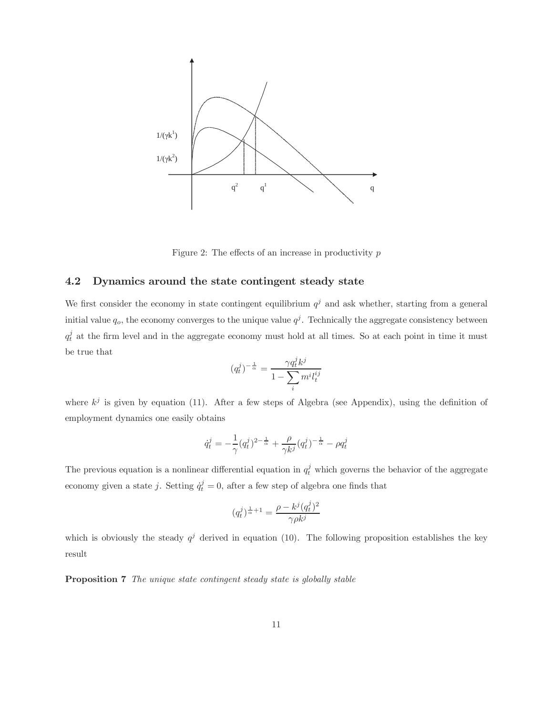

Figure 2: The effects of an increase in productivity  $p$ 

#### 4.2 Dynamics around the state contingent steady state

We first consider the economy in state contingent equilibrium  $q<sup>j</sup>$  and ask whether, starting from a general initial value  $q_o$ , the economy converges to the unique value  $q^j$ . Technically the aggregate consistency between  $q_t^j$  at the firm level and in the aggregate economy must hold at all times. So at each point in time it must be true that

$$
(q^j_t)^{-\frac{1}{\alpha}}=\frac{\gamma q^j_t k^j}{1-\sum\limits_i m^i l^{ij}_t}
$$

where  $k^j$  is given by equation (11). After a few steps of Algebra (see Appendix), using the definition of employment dynamics one easily obtains

$$
\dot{q}_t^j = -\frac{1}{\gamma} (q_t^j)^{2-\frac{1}{\alpha}} + \frac{\rho}{\gamma k^j} (q_t^j)^{-\frac{1}{\alpha}} - \rho q_t^j
$$

The previous equation is a nonlinear differential equation in  $q_t^j$  which governs the behavior of the aggregate economy given a state j. Setting  $\dot{q}_t^j = 0$ , after a few step of algebra one finds that

$$
(q_t^j)^{\frac{1}{\alpha}+1} = \frac{\rho - k^j (q_t^j)^2}{\gamma \rho k^j}
$$

which is obviously the steady  $q^{j}$  derived in equation (10). The following proposition establishes the key result

Proposition 7 The unique state contingent steady state is globally stable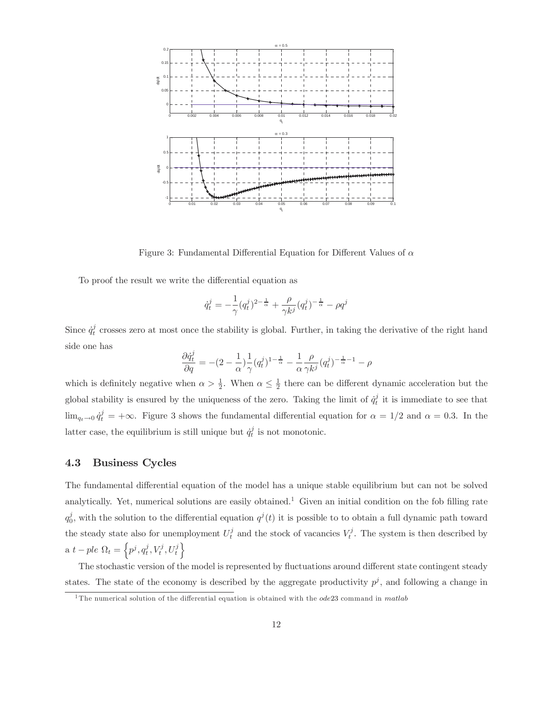

Figure 3: Fundamental Differential Equation for Different Values of  $\alpha$ 

To proof the result we write the differential equation as

$$
\dot{q}_t^j = -\frac{1}{\gamma} (q_t^j)^{2-\frac{1}{\alpha}} + \frac{\rho}{\gamma k^j} (q_t^j)^{-\frac{1}{\alpha}} - \rho q^j
$$

Since  $\dot{q}^j_t$  crosses zero at most once the stability is global. Further, in taking the derivative of the right hand side one has

$$
\frac{\partial \dot{q}^j_t}{\partial q} = -(2-\frac{1}{\alpha})\frac{1}{\gamma} (q^j_t)^{1-\frac{1}{\alpha}} - \frac{1}{\alpha}\frac{\rho}{\gamma k^j}(q^j_t)^{-\frac{1}{\alpha}-1} - \rho
$$

which is definitely negative when  $\alpha > \frac{1}{2}$ . When  $\alpha \leq \frac{1}{2}$  there can be different dynamic acceleration but the global stability is ensured by the uniqueness of the zero. Taking the limit of  $\dot{q}_t^j$  it is immediate to see that  $\lim_{q_t \to 0} \dot{q}_t^j = +\infty$ . Figure 3 shows the fundamental differential equation for  $\alpha = 1/2$  and  $\alpha = 0.3$ . In the latter case, the equilibrium is still unique but  $\dot{q}_t^j$  is not monotonic.

#### 4.3 Business Cycles

The fundamental differential equation of the model has a unique stable equilibrium but can not be solved analytically. Yet, numerical solutions are easily obtained.<sup>1</sup> Given an initial condition on the fob filling rate  $q_0^j$ , with the solution to the differential equation  $q^j(t)$  it is possible to to obtain a full dynamic path toward the steady state also for unemployment  $U_t^j$  and the stock of vacancies  $V_t^j$ . The system is then described by a  $t - ple \Omega_t = \left\{ p^j, q_t^j, V_t^j, U_t^j \right\}$ 

The stochastic version of the model is represented by fluctuations around different state contingent steady states. The state of the economy is described by the aggregate productivity  $p^{j}$ , and following a change in

<sup>&</sup>lt;sup>1</sup>The numerical solution of the differential equation is obtained with the  $ode23$  command in matlab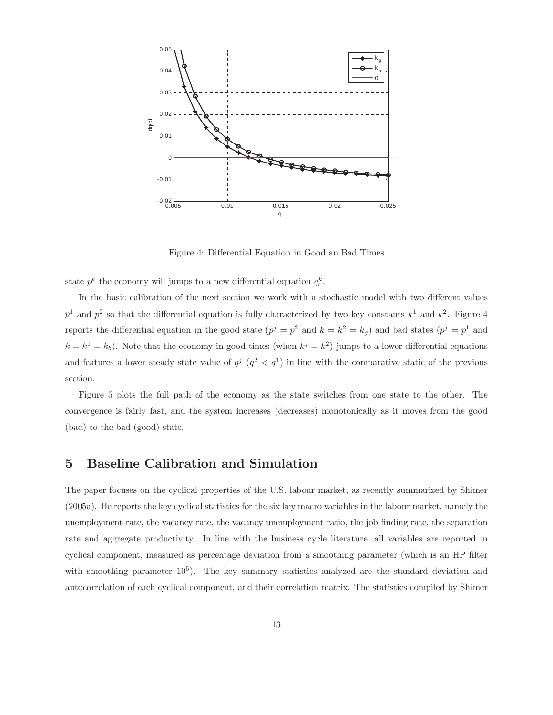

Figure 4: Differential Equation in Good an Bad Times

state  $p^k$  the economy will jumps to a new differential equation  $q_t^k$ .

In the basic calibration of the next section we work with a stochastic model with two different values  $p<sup>1</sup>$  and  $p<sup>2</sup>$  so that the differential equation is fully characterized by two key constants  $k<sup>1</sup>$  and  $k<sup>2</sup>$ . Figure 4 reports the differential equation in the good state  $(p^{j} = p^{2}$  and  $k = k^{2} = k_{g}$ ) and bad states  $(p^{j} = p^{1}$  and  $k = k<sup>1</sup> = k<sub>b</sub>$ ). Note that the economy in good times (when  $k<sup>j</sup> = k<sup>2</sup>$ ) jumps to a lower differential equations and features a lower steady state value of  $q^j$  ( $q^2 < q^1$ ) in line with the comparative static of the previous section.

Figure 5 plots the full path of the economy as the state switches from one state to the other. The convergence is fairly fast, and the system increases (decreases) monotonically as it moves from the good (bad) to the bad (good) state.

### 5 Baseline Calibration and Simulation

The paper focuses on the cyclical properties of the U.S. labour market, as recently summarized by Shimer (2005a). He reports the key cyclical statistics for the six key macro variables in the labour market, namely the unemployment rate, the vacancy rate, the vacancy unemployment ratio, the job finding rate, the separation rate and aggregate productivity. In line with the business cycle literature, all variables are reported in cyclical component, measured as percentage deviation from a smoothing parameter (which is an HP filter with smoothing parameter  $10^5$ ). The key summary statistics analyzed are the standard deviation and autocorrelation of each cyclical component, and their correlation matrix. The statistics compiled by Shimer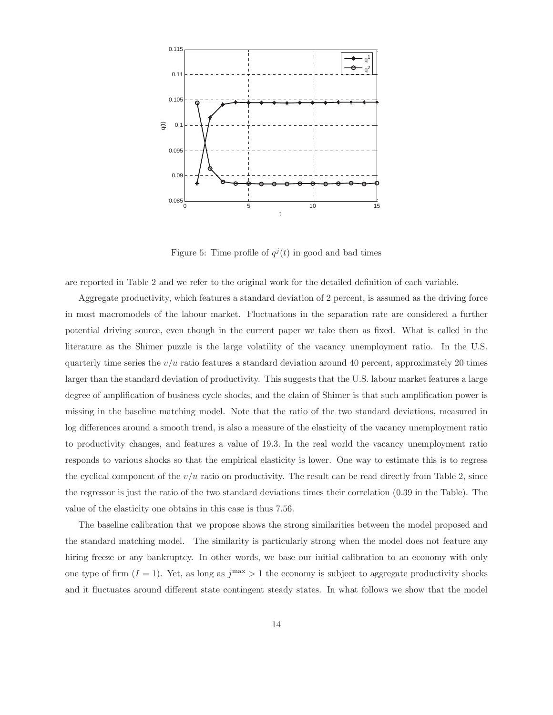

Figure 5: Time profile of  $q^{j}(t)$  in good and bad times

are reported in Table 2 and we refer to the original work for the detailed definition of each variable.

Aggregate productivity, which features a standard deviation of 2 percent, is assumed as the driving force in most macromodels of the labour market. Fluctuations in the separation rate are considered a further potential driving source, even though in the current paper we take them as fixed. What is called in the literature as the Shimer puzzle is the large volatility of the vacancy unemployment ratio. In the U.S. quarterly time series the  $v/u$  ratio features a standard deviation around 40 percent, approximately 20 times larger than the standard deviation of productivity. This suggests that the U.S. labour market features a large degree of amplification of business cycle shocks, and the claim of Shimer is that such amplification power is missing in the baseline matching model. Note that the ratio of the two standard deviations, measured in log differences around a smooth trend, is also a measure of the elasticity of the vacancy unemployment ratio to productivity changes, and features a value of 19.3. In the real world the vacancy unemployment ratio responds to various shocks so that the empirical elasticity is lower. One way to estimate this is to regress the cyclical component of the  $v/u$  ratio on productivity. The result can be read directly from Table 2, since the regressor is just the ratio of the two standard deviations times their correlation (0.39 in the Table). The value of the elasticity one obtains in this case is thus 7.56.

The baseline calibration that we propose shows the strong similarities between the model proposed and the standard matching model. The similarity is particularly strong when the model does not feature any hiring freeze or any bankruptcy. In other words, we base our initial calibration to an economy with only one type of firm  $(I = 1)$ . Yet, as long as  $j<sup>max</sup> > 1$  the economy is subject to aggregate productivity shocks and it fluctuates around different state contingent steady states. In what follows we show that the model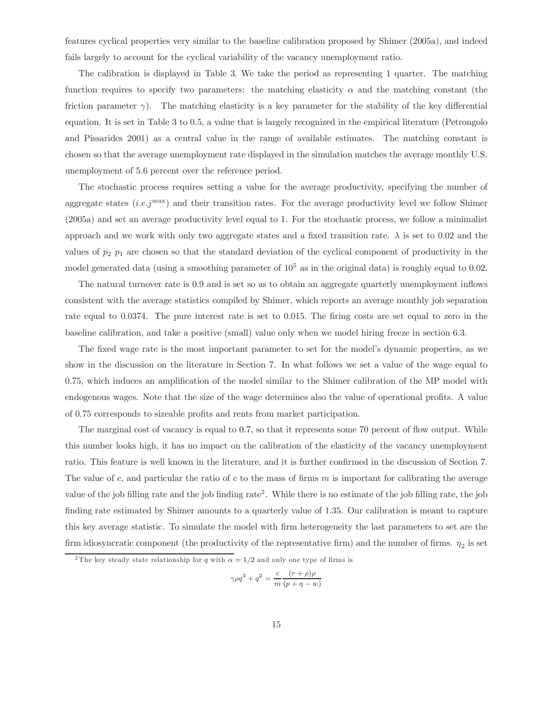features cyclical properties very similar to the baseline calibration proposed by Shimer (2005a), and indeed fails largely to account for the cyclical variability of the vacancy unemployment ratio.

The calibration is displayed in Table 3. We take the period as representing 1 quarter. The matching function requires to specify two parameters: the matching elasticity  $\alpha$  and the matching constant (the friction parameter  $\gamma$ ). The matching elasticity is a key parameter for the stability of the key differential equation. It is set in Table 3 to 0.5, a value that is largely recognized in the empirical literature (Petrongolo and Pissarides 2001) as a central value in the range of available estimates. The matching constant is chosen so that the average unemployment rate displayed in the simulation matches the average monthly U.S. unemployment of 5.6 percent over the reference period.

The stochastic process requires setting a value for the average productivity, specifying the number of aggregate states  $(i.e. j<sup>max</sup>)$  and their transition rates. For the average productivity level we follow Shimer (2005a) and set an average productivity level equal to 1. For the stochastic process, we follow a minimalist approach and we work with only two aggregate states and a fixed transition rate.  $\lambda$  is set to 0.02 and the values of  $p_2$   $p_1$  are chosen so that the standard deviation of the cyclical component of productivity in the model generated data (using a smoothing parameter of  $10^5$  as in the original data) is roughly equal to 0.02.

The natural turnover rate is 0.9 and is set so as to obtain an aggregate quarterly unemployment inflows consistent with the average statistics compiled by Shimer, which reports an average monthly job separation rate equal to 0.0374. The pure interest rate is set to 0.015. The firing costs are set equal to zero in the baseline calibration, and take a positive (small) value only when we model hiring freeze in section 6.3.

The fixed wage rate is the most important parameter to set for the model's dynamic properties, as we show in the discussion on the literature in Section 7. In what follows we set a value of the wage equal to 0.75, which induces an amplification of the model similar to the Shimer calibration of the MP model with endogenous wages. Note that the size of the wage determines also the value of operational profits. A value of 0.75 corresponds to sizeable profits and rents from market participation.

The marginal cost of vacancy is equal to 0.7, so that it represents some 70 percent of flow output. While this number looks high, it has no impact on the calibration of the elasticity of the vacancy unemployment ratio. This feature is well known in the literature, and it is further confirmed in the discussion of Section 7. The value of c, and particular the ratio of c to the mass of firms  $m$  is important for calibrating the average value of the job filling rate and the job finding rate<sup>2</sup>. While there is no estimate of the job filling rate, the job finding rate estimated by Shimer amounts to a quarterly value of 1.35. Our calibration is meant to capture this key average statistic. To simulate the model with firm heterogeneity the last parameters to set are the firm idiosyncratic component (the productivity of the representative firm) and the number of firms.  $\eta_2$  is set

$$
\gamma \rho q^3 + q^2 = \frac{c}{m} \frac{(r+\rho)\rho}{(p+\eta-w)}
$$

<sup>&</sup>lt;sup>2</sup>The key steady state relationship for q with  $\alpha = 1/2$  and only one type of firms is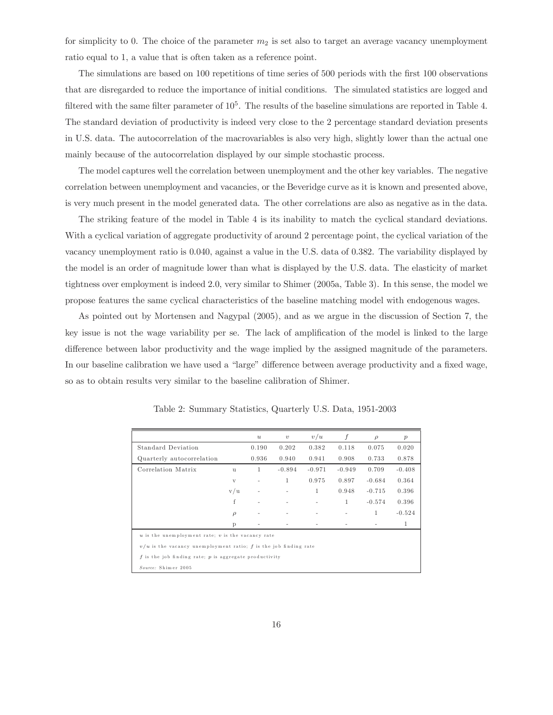for simplicity to 0. The choice of the parameter  $m_2$  is set also to target an average vacancy unemployment ratio equal to 1, a value that is often taken as a reference point.

The simulations are based on 100 repetitions of time series of 500 periods with the first 100 observations that are disregarded to reduce the importance of initial conditions. The simulated statistics are logged and filtered with the same filter parameter of  $10^5$ . The results of the baseline simulations are reported in Table 4. The standard deviation of productivity is indeed very close to the 2 percentage standard deviation presents in U.S. data. The autocorrelation of the macrovariables is also very high, slightly lower than the actual one mainly because of the autocorrelation displayed by our simple stochastic process.

The model captures well the correlation between unemployment and the other key variables. The negative correlation between unemployment and vacancies, or the Beveridge curve as it is known and presented above, is very much present in the model generated data. The other correlations are also as negative as in the data.

The striking feature of the model in Table 4 is its inability to match the cyclical standard deviations. With a cyclical variation of aggregate productivity of around 2 percentage point, the cyclical variation of the vacancy unemployment ratio is 0.040, against a value in the U.S. data of 0.382. The variability displayed by the model is an order of magnitude lower than what is displayed by the U.S. data. The elasticity of market tightness over employment is indeed 2.0, very similar to Shimer (2005a, Table 3). In this sense, the model we propose features the same cyclical characteristics of the baseline matching model with endogenous wages.

As pointed out by Mortensen and Nagypal (2005), and as we argue in the discussion of Section 7, the key issue is not the wage variability per se. The lack of amplification of the model is linked to the large difference between labor productivity and the wage implied by the assigned magnitude of the parameters. In our baseline calibration we have used a "large" difference between average productivity and a fixed wage, so as to obtain results very similar to the baseline calibration of Shimer.

|                                                                      |              | $\boldsymbol{u}$ | $\upsilon$ | v/u      | f        | $\rho$       | p        |
|----------------------------------------------------------------------|--------------|------------------|------------|----------|----------|--------------|----------|
| Standard Deviation                                                   |              | 0.190            | 0.202      | 0.382    | 0.118    | 0.075        | 0.020    |
| Quarterly autocorrelation                                            |              | 0.936            | 0.940      | 0.941    | 0.908    | 0.733        | 0.878    |
| Correlation Matrix                                                   | <b>u</b>     | 1                | $-0.894$   | $-0.971$ | $-0.949$ | 0.709        | $-0.408$ |
|                                                                      | $\mathbf{V}$ |                  | 1          | 0.975    | 0.897    | $-0.684$     | 0.364    |
|                                                                      | v/u          |                  |            | 1        | 0.948    | $-0.715$     | 0.396    |
|                                                                      | f            | ٠                |            | ٠        | 1        | $-0.574$     | 0.396    |
|                                                                      | $\rho$       |                  |            |          | ۰        | $\mathbf{1}$ | $-0.524$ |
|                                                                      | P            |                  |            |          |          |              | 1        |
| $u$ is the unemployment rate; $v$ is the vacancy rate                |              |                  |            |          |          |              |          |
| $v/u$ is the vacancy unemployment ratio; $f$ is the job finding rate |              |                  |            |          |          |              |          |
| $f$ is the job finding rate; $p$ is aggregate productivity           |              |                  |            |          |          |              |          |
| Source: Shimer 2005                                                  |              |                  |            |          |          |              |          |

Table 2: Summary Statistics, Quarterly U.S. Data, 1951-2003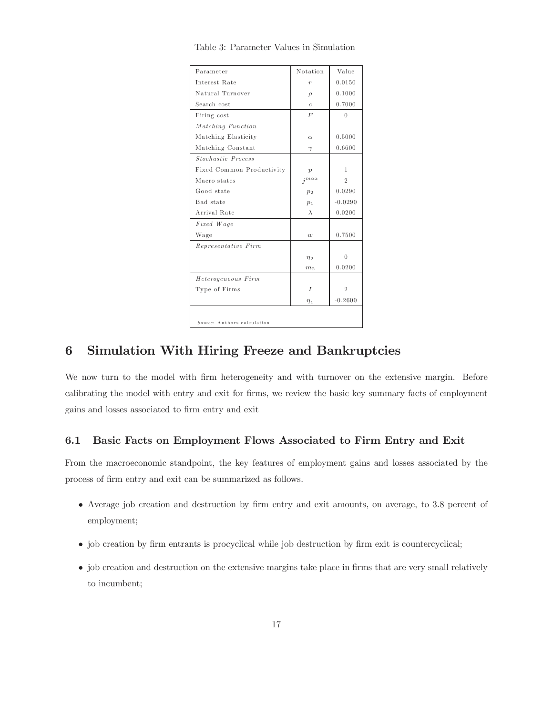| Parameter                   | Notation         | Value          |
|-----------------------------|------------------|----------------|
| Interest Rate               | $\overline{r}$   | 0.0150         |
| Natural Turnover            | $\rho$           | 0.1000         |
| Search cost                 | $\mathfrak c$    | 0.7000         |
| Firing cost                 | F                | $\Omega$       |
| Matching Function           |                  |                |
| Matching Elasticity         | $\alpha$         | 0.5000         |
| Matching Constant           | $\gamma$         | 0.6600         |
| Stochastic Process          |                  |                |
| Fixed Common Productivity   | $\boldsymbol{p}$ | $\mathbf{1}$   |
| Macro states                | $j^{max}$        | $\overline{2}$ |
| Good state                  | p <sub>2</sub>   | 0.0290         |
| Bad state                   | p <sub>1</sub>   | $-0.0290$      |
| Arrival Rate                | $\lambda$        | 0.0200         |
| Fixed Wage                  |                  |                |
| Wage                        | $\boldsymbol{w}$ | 0.7500         |
| Representative Firm         |                  |                |
|                             | $\eta_2$         | $\Omega$       |
|                             | m <sub>2</sub>   | 0.0200         |
| Heterogeneous Firm          |                  |                |
| Type of Firms               | $\overline{I}$   | $\overline{2}$ |
|                             | $\eta_1$         | $-0.2600$      |
|                             |                  |                |
| Source: Authors calculation |                  |                |

Table 3: Parameter Values in Simulation

## 6 Simulation With Hiring Freeze and Bankruptcies

We now turn to the model with firm heterogeneity and with turnover on the extensive margin. Before calibrating the model with entry and exit for firms, we review the basic key summary facts of employment gains and losses associated to firm entry and exit

#### 6.1 Basic Facts on Employment Flows Associated to Firm Entry and Exit

From the macroeconomic standpoint, the key features of employment gains and losses associated by the process of firm entry and exit can be summarized as follows.

- Average job creation and destruction by firm entry and exit amounts, on average, to 3.8 percent of employment;
- job creation by firm entrants is procyclical while job destruction by firm exit is countercyclical;
- job creation and destruction on the extensive margins take place in firms that are very small relatively to incumbent;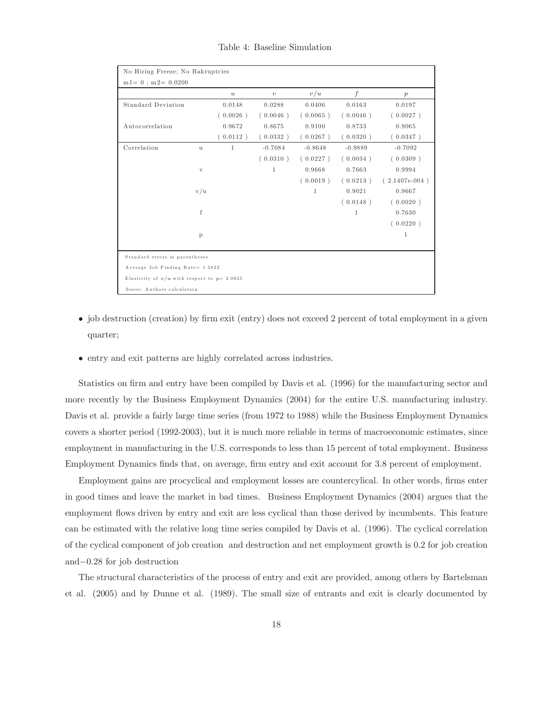| No Hiring Freeze; No Bakruptcies               |              |                  |              |              |                  |                  |  |  |
|------------------------------------------------|--------------|------------------|--------------|--------------|------------------|------------------|--|--|
| $m1 = 0$ ; $m2 = 0.0200$                       |              |                  |              |              |                  |                  |  |  |
|                                                |              | $\boldsymbol{u}$ | $\upsilon$   | v/u          | $\boldsymbol{f}$ | $\boldsymbol{p}$ |  |  |
| <b>Standard Deviation</b>                      |              | 0.0148           | 0.0288       | 0.0406       | 0.0163           | 0.0197           |  |  |
|                                                |              | (0.0026)         | (0.0046)     | (0.0065)     | (0.0046)         | (0.0027)         |  |  |
| Autocorrelation                                |              | 0.9672           | 0.8675       | 0.9100       | 0.8733           | 0.9065           |  |  |
|                                                |              | (0.0112)         | (0.0332)     | (0.0267)     | (0.0320)         | (0.0347)         |  |  |
| Correlation                                    | $\mathbf{u}$ | 1                | $-0.7084$    | $-0.8648$    | $-0.9889$        | $-0.7092$        |  |  |
|                                                |              |                  | (0.0310)     | (0.0227)     | (0.0034)         | (0.0309)         |  |  |
|                                                | V            |                  | $\mathbf{1}$ | 0.9668       | 0.7663           | 0.9994           |  |  |
|                                                |              |                  |              | (0.0019)     | (0.0213)         | $(2.1407e-004)$  |  |  |
|                                                | v/u          |                  |              | $\mathbf{1}$ | 0.9021           | 0.9667           |  |  |
|                                                |              |                  |              |              | (0.0148)         | (0.0020)         |  |  |
|                                                | f            |                  |              |              | 1                | 0.7630           |  |  |
|                                                |              |                  |              |              |                  | (0.0220)         |  |  |
|                                                | $\mathbf{p}$ |                  |              |              |                  | 1                |  |  |
|                                                |              |                  |              |              |                  |                  |  |  |
| Standard errors in parentheses                 |              |                  |              |              |                  |                  |  |  |
| Average Job Finding Rate= 1.3822               |              |                  |              |              |                  |                  |  |  |
| Elasticity of $v/u$ with respect to $p=2.0635$ |              |                  |              |              |                  |                  |  |  |
| Source: Authors calculation                    |              |                  |              |              |                  |                  |  |  |

Table 4: Baseline Simulation

- job destruction (creation) by firm exit (entry) does not exceed 2 percent of total employment in a given quarter;
- entry and exit patterns are highly correlated across industries.

Statistics on firm and entry have been compiled by Davis et al. (1996) for the manufacturing sector and more recently by the Business Employment Dynamics (2004) for the entire U.S. manufacturing industry. Davis et al. provide a fairly large time series (from 1972 to 1988) while the Business Employment Dynamics covers a shorter period (1992-2003), but it is much more reliable in terms of macroeconomic estimates, since employment in manufacturing in the U.S. corresponds to less than 15 percent of total employment. Business Employment Dynamics finds that, on average, firm entry and exit account for 3.8 percent of employment.

Employment gains are procyclical and employment losses are countercylical. In other words, firms enter in good times and leave the market in bad times. Business Employment Dynamics (2004) argues that the employment flows driven by entry and exit are less cyclical than those derived by incumbents. This feature can be estimated with the relative long time series compiled by Davis et al. (1996). The cyclical correlation of the cyclical component of job creation and destruction and net employment growth is 0.2 for job creation and−0.28 for job destruction

The structural characteristics of the process of entry and exit are provided, among others by Bartelsman et al. (2005) and by Dunne et al. (1989). The small size of entrants and exit is clearly documented by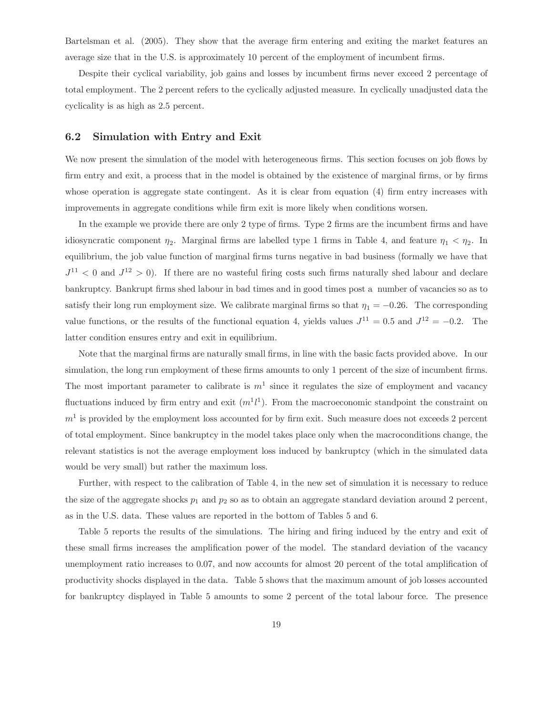Bartelsman et al. (2005). They show that the average firm entering and exiting the market features an average size that in the U.S. is approximately 10 percent of the employment of incumbent firms.

Despite their cyclical variability, job gains and losses by incumbent firms never exceed 2 percentage of total employment. The 2 percent refers to the cyclically adjusted measure. In cyclically unadjusted data the cyclicality is as high as 2.5 percent.

#### 6.2 Simulation with Entry and Exit

We now present the simulation of the model with heterogeneous firms. This section focuses on job flows by firm entry and exit, a process that in the model is obtained by the existence of marginal firms, or by firms whose operation is aggregate state contingent. As it is clear from equation (4) firm entry increases with improvements in aggregate conditions while firm exit is more likely when conditions worsen.

In the example we provide there are only 2 type of firms. Type 2 firms are the incumbent firms and have idiosyncratic component  $\eta_2$ . Marginal firms are labelled type 1 firms in Table 4, and feature  $\eta_1 < \eta_2$ . In equilibrium, the job value function of marginal firms turns negative in bad business (formally we have that  $J^{11}$  < 0 and  $J^{12}$  > 0). If there are no wasteful firing costs such firms naturally shed labour and declare bankruptcy. Bankrupt firms shed labour in bad times and in good times post a number of vacancies so as to satisfy their long run employment size. We calibrate marginal firms so that  $\eta_1 = -0.26$ . The corresponding value functions, or the results of the functional equation 4, yields values  $J^{11} = 0.5$  and  $J^{12} = -0.2$ . The latter condition ensures entry and exit in equilibrium.

Note that the marginal firms are naturally small firms, in line with the basic facts provided above. In our simulation, the long run employment of these firms amounts to only 1 percent of the size of incumbent firms. The most important parameter to calibrate is  $m<sup>1</sup>$  since it regulates the size of employment and vacancy fluctuations induced by firm entry and exit  $(m<sup>1</sup>l<sup>1</sup>)$ . From the macroeconomic standpoint the constraint on  $m<sup>1</sup>$  is provided by the employment loss accounted for by firm exit. Such measure does not exceeds 2 percent of total employment. Since bankruptcy in the model takes place only when the macroconditions change, the relevant statistics is not the average employment loss induced by bankruptcy (which in the simulated data would be very small) but rather the maximum loss.

Further, with respect to the calibration of Table 4, in the new set of simulation it is necessary to reduce the size of the aggregate shocks  $p_1$  and  $p_2$  so as to obtain an aggregate standard deviation around 2 percent, as in the U.S. data. These values are reported in the bottom of Tables 5 and 6.

Table 5 reports the results of the simulations. The hiring and firing induced by the entry and exit of these small firms increases the amplification power of the model. The standard deviation of the vacancy unemployment ratio increases to 0.07, and now accounts for almost 20 percent of the total amplification of productivity shocks displayed in the data. Table 5 shows that the maximum amount of job losses accounted for bankruptcy displayed in Table 5 amounts to some 2 percent of the total labour force. The presence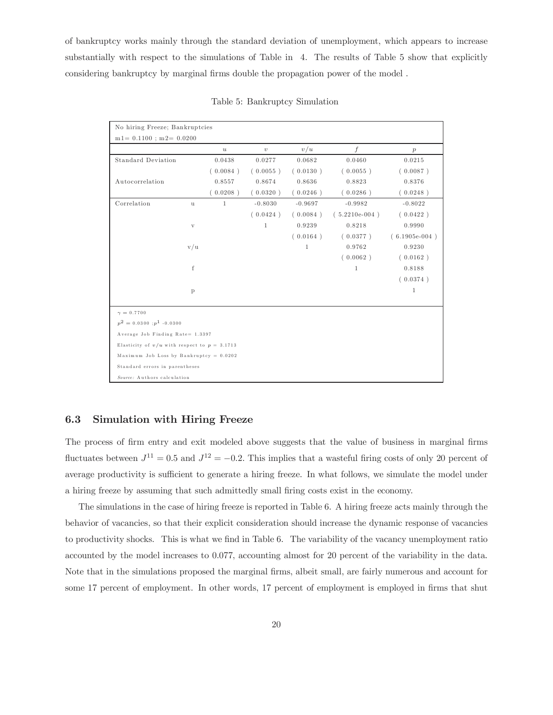of bankruptcy works mainly through the standard deviation of unemployment, which appears to increase substantially with respect to the simulations of Table in 4. The results of Table 5 show that explicitly considering bankruptcy by marginal firms double the propagation power of the model .

| No hiring Freeze; Bankruptcies                   |              |                  |              |              |                  |                 |
|--------------------------------------------------|--------------|------------------|--------------|--------------|------------------|-----------------|
| $m1 = 0.1100$ ; $m2 = 0.0200$                    |              |                  |              |              |                  |                 |
|                                                  |              | $\boldsymbol{u}$ | $\upsilon$   | v/u          | $\boldsymbol{f}$ | p               |
| <b>Standard Deviation</b>                        |              | 0.0438           | 0.0277       | 0.0682       | 0.0460           | 0.0215          |
|                                                  |              | (0.0084)         | (0.0055)     | (0.0130)     | (0.0055)         | (0.0087)        |
| Autocorrelation                                  |              | 0.8557           | 0.8674       | 0.8636       | 0.8823           | 0.8376          |
|                                                  |              | (0.0208)         | (0.0320)     | (0.0246)     | (0.0286)         | (0.0248)        |
| Correlation                                      | $\mathbf u$  | $\mathbf{1}$     | $-0.8030$    | $-0.9697$    | $-0.9982$        | $-0.8022$       |
|                                                  |              |                  | (0.0424)     | (0.0084)     | $(5.2210e-004)$  | (0.0422)        |
|                                                  | $\mathbf{V}$ |                  | $\mathbf{1}$ | 0.9239       | 0.8218           | 0.9990          |
|                                                  |              |                  |              | (0.0164)     | (0.0377)         | $(6.1905e-004)$ |
|                                                  | v/u          |                  |              | $\mathbf{1}$ | 0.9762           | 0.9230          |
|                                                  |              |                  |              |              | (0.0062)         | (0.0162)        |
|                                                  | f            |                  |              |              | $\mathbf{1}$     | 0.8188          |
|                                                  |              |                  |              |              |                  | (0.0374)        |
|                                                  | $\mathbf{p}$ |                  |              |              |                  | 1               |
| $\gamma = 0.7700$                                |              |                  |              |              |                  |                 |
| $p^2 = 0.0300; p^1 \tbinom{-0.0300}{ }$          |              |                  |              |              |                  |                 |
| Average Job Finding Rate= 1.3397                 |              |                  |              |              |                  |                 |
| Elasticity of $v/u$ with respect to $p = 3.1713$ |              |                  |              |              |                  |                 |
| Maximum Job Loss by Bankruptcy = 0.0202          |              |                  |              |              |                  |                 |
| Standard errors in parentheses                   |              |                  |              |              |                  |                 |
| Source: Authors calculation                      |              |                  |              |              |                  |                 |

Table 5: Bankruptcy Simulation

#### 6.3 Simulation with Hiring Freeze

The process of firm entry and exit modeled above suggests that the value of business in marginal firms fluctuates between  $J^{11} = 0.5$  and  $J^{12} = -0.2$ . This implies that a wasteful firing costs of only 20 percent of average productivity is sufficient to generate a hiring freeze. In what follows, we simulate the model under a hiring freeze by assuming that such admittedly small firing costs exist in the economy.

The simulations in the case of hiring freeze is reported in Table 6. A hiring freeze acts mainly through the behavior of vacancies, so that their explicit consideration should increase the dynamic response of vacancies to productivity shocks. This is what we find in Table 6. The variability of the vacancy unemployment ratio accounted by the model increases to 0.077, accounting almost for 20 percent of the variability in the data. Note that in the simulations proposed the marginal firms, albeit small, are fairly numerous and account for some 17 percent of employment. In other words, 17 percent of employment is employed in firms that shut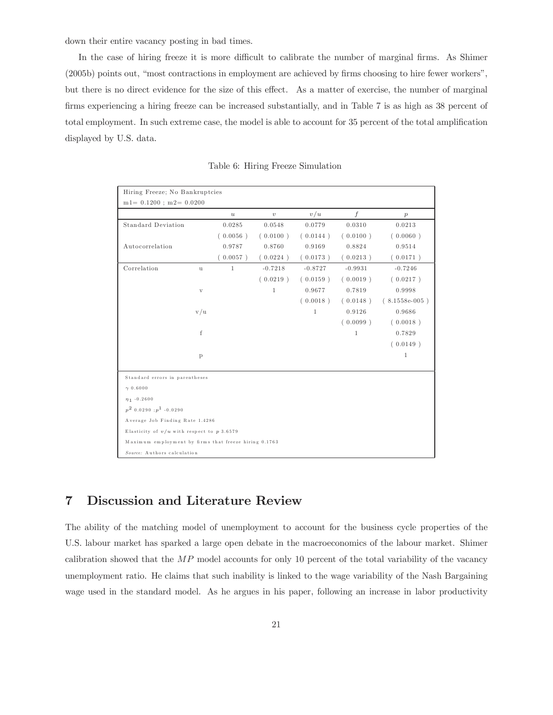down their entire vacancy posting in bad times.

In the case of hiring freeze it is more difficult to calibrate the number of marginal firms. As Shimer (2005b) points out, "most contractions in employment are achieved by firms choosing to hire fewer workers", but there is no direct evidence for the size of this effect. As a matter of exercise, the number of marginal firms experiencing a hiring freeze can be increased substantially, and in Table 7 is as high as 38 percent of total employment. In such extreme case, the model is able to account for 35 percent of the total amplification displayed by U.S. data.

| Hiring Freeze; No Bankruptcies                        |                                 |                  |              |              |                  |                 |  |  |  |
|-------------------------------------------------------|---------------------------------|------------------|--------------|--------------|------------------|-----------------|--|--|--|
| $\rm m1\!=\,0.1200$ ; $\rm m2\!=\,0.0200$             |                                 |                  |              |              |                  |                 |  |  |  |
|                                                       |                                 | $\boldsymbol{u}$ | $\upsilon$   | v/u          | $\boldsymbol{f}$ | p               |  |  |  |
| <b>Standard Deviation</b>                             |                                 | 0.0285           | 0.0548       | 0.0779       | 0.0310           | 0.0213          |  |  |  |
|                                                       |                                 | (0.0056)         | (0.0100)     | (0.0144)     | (0.0100)         | (0.0060)        |  |  |  |
| Autocorrelation                                       |                                 | 0.9787           | 0.8760       | 0.9169       | 0.8824           | 0.9514          |  |  |  |
|                                                       |                                 | (0.0057)         | (0.0224)     | (0.0173)     | (0.0213)         | (0.0171)        |  |  |  |
| Correlation                                           | $\mathbf u$                     | $\mathbf{1}$     | $-0.7218$    | $-0.8727$    | $-0.9931$        | $-0.7246$       |  |  |  |
|                                                       |                                 |                  | (0.0219)     | (0.0159)     | (0.0019)         | (0.0217)        |  |  |  |
|                                                       | $\mathbf{V}$                    |                  | $\mathbf{1}$ | 0.9677       | 0.7819           | 0.9998          |  |  |  |
|                                                       |                                 |                  |              | (0.0018)     | (0.0148)         | $(8.1558e-005)$ |  |  |  |
|                                                       | v/u                             |                  |              | $\mathbf{1}$ | 0.9126           | 0.9686          |  |  |  |
|                                                       |                                 |                  |              |              | (0.0099)         | (0.0018)        |  |  |  |
|                                                       | f                               |                  |              |              | $\mathbf{1}$     | 0.7829          |  |  |  |
|                                                       |                                 |                  |              |              |                  | (0.0149)        |  |  |  |
|                                                       | $\mathbf{p}$                    |                  |              |              |                  | 1               |  |  |  |
|                                                       |                                 |                  |              |              |                  |                 |  |  |  |
| Standard errors in parentheses                        |                                 |                  |              |              |                  |                 |  |  |  |
| $\gamma$ 0.6000                                       |                                 |                  |              |              |                  |                 |  |  |  |
| $\eta_1 - 0.2600$                                     |                                 |                  |              |              |                  |                 |  |  |  |
| $p^2$ 0.0290 : $p^1$ -0.0290                          |                                 |                  |              |              |                  |                 |  |  |  |
|                                                       | Average Job Finding Rate 1.4286 |                  |              |              |                  |                 |  |  |  |
| Elasticity of $v/u$ with respect to p 3.6579          |                                 |                  |              |              |                  |                 |  |  |  |
| Maximum employment by firms that freeze hiring 0.1763 |                                 |                  |              |              |                  |                 |  |  |  |
| Source: Authors calculation                           |                                 |                  |              |              |                  |                 |  |  |  |

Table 6: Hiring Freeze Simulation

## 7 Discussion and Literature Review

The ability of the matching model of unemployment to account for the business cycle properties of the U.S. labour market has sparked a large open debate in the macroeconomics of the labour market. Shimer calibration showed that the  $MP$  model accounts for only 10 percent of the total variability of the vacancy unemployment ratio. He claims that such inability is linked to the wage variability of the Nash Bargaining wage used in the standard model. As he argues in his paper, following an increase in labor productivity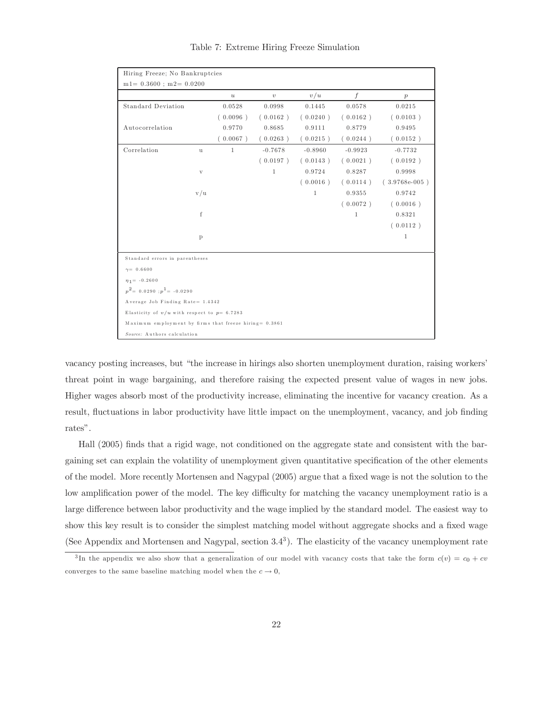| Hiring Freeze; No Bankruptcies                         |              |                  |              |              |           |                  |
|--------------------------------------------------------|--------------|------------------|--------------|--------------|-----------|------------------|
| $m1 = 0.3600$ ; $m2 = 0.0200$                          |              |                  |              |              |           |                  |
|                                                        |              | $\boldsymbol{u}$ | $\upsilon$   | v/u          | f         | $\boldsymbol{p}$ |
| <b>Standard Deviation</b>                              |              | 0.0528           | 0.0998       | 0.1445       | 0.0578    | 0.0215           |
|                                                        |              | (0.0096)         | (0.0162)     | (0.0240)     | (0.0162)  | (0.0103)         |
| Autocorrelation                                        |              | 0.9770           | 0.8685       | 0.9111       | 0.8779    | 0.9495           |
|                                                        |              | (0.0067)         | (0.0263)     | (0.0215)     | (0.0244)  | (0.0152)         |
| Correlation                                            | u            | $\mathbf{1}$     | $-0.7678$    | $-0.8960$    | $-0.9923$ | $-0.7732$        |
|                                                        |              |                  | (0.0197)     | (0.0143)     | (0.0021)  | (0.0192)         |
|                                                        | $\mathbf{V}$ |                  | $\mathbf{1}$ | 0.9724       | 0.8287    | 0.9998           |
|                                                        |              |                  |              | (0.0016)     | (0.0114)  | $(3.9768e-005)$  |
|                                                        | v/u          |                  |              | $\mathbf{1}$ | 0.9355    | 0.9742           |
|                                                        |              |                  |              |              | (0.0072)  | (0.0016)         |
|                                                        | f            |                  |              |              | 1         | 0.8321           |
|                                                        |              |                  |              |              |           | (0.0112)         |
|                                                        | $\mathbf{p}$ |                  |              |              |           | 1                |
|                                                        |              |                  |              |              |           |                  |
| Standard errors in parentheses                         |              |                  |              |              |           |                  |
| $\gamma = 0.6600$                                      |              |                  |              |              |           |                  |
| $\eta_1 = -0.2600$                                     |              |                  |              |              |           |                  |
| $p^2 = 0.0290 : p^1 = -0.0290$                         |              |                  |              |              |           |                  |
| Average Job Finding Rate= 1.4342                       |              |                  |              |              |           |                  |
| Elasticity of $v/u$ with respect to $p=6.7283$         |              |                  |              |              |           |                  |
| Maximum employment by firms that freeze hiring= 0.3861 |              |                  |              |              |           |                  |
| Source: Authors calculation                            |              |                  |              |              |           |                  |

Table 7: Extreme Hiring Freeze Simulation

vacancy posting increases, but "the increase in hirings also shorten unemployment duration, raising workers' threat point in wage bargaining, and therefore raising the expected present value of wages in new jobs. Higher wages absorb most of the productivity increase, eliminating the incentive for vacancy creation. As a result, fluctuations in labor productivity have little impact on the unemployment, vacancy, and job finding rates".

Hall (2005) finds that a rigid wage, not conditioned on the aggregate state and consistent with the bargaining set can explain the volatility of unemployment given quantitative specification of the other elements of the model. More recently Mortensen and Nagypal (2005) argue that a fixed wage is not the solution to the low amplification power of the model. The key difficulty for matching the vacancy unemployment ratio is a large difference between labor productivity and the wage implied by the standard model. The easiest way to show this key result is to consider the simplest matching model without aggregate shocks and a fixed wage (See Appendix and Mortensen and Nagypal, section 3.43). The elasticity of the vacancy unemployment rate

<sup>&</sup>lt;sup>3</sup>In the appendix we also show that a generalization of our model with vacancy costs that take the form  $c(v) = c_0 + cv$ converges to the same baseline matching model when the  $c \to 0$ ,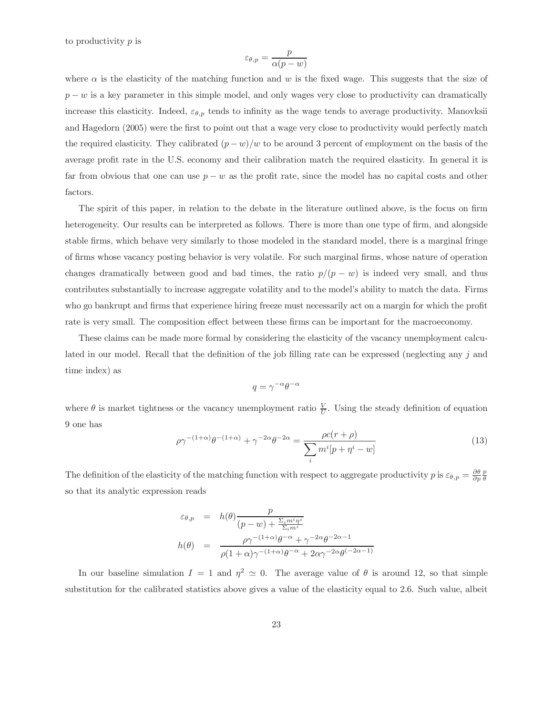to productivity p is

$$
\varepsilon_{\theta,p} = \frac{p}{\alpha(p-w)}
$$

where  $\alpha$  is the elasticity of the matching function and w is the fixed wage. This suggests that the size of  $p - w$  is a key parameter in this simple model, and only wages very close to productivity can dramatically increase this elasticity. Indeed,  $\varepsilon_{\theta,p}$  tends to infinity as the wage tends to average productivity. Manovksii and Hagedorn (2005) were the first to point out that a wage very close to productivity would perfectly match the required elasticity. They calibrated  $(p - w)/w$  to be around 3 percent of employment on the basis of the average profit rate in the U.S. economy and their calibration match the required elasticity. In general it is far from obvious that one can use  $p - w$  as the profit rate, since the model has no capital costs and other factors.

The spirit of this paper, in relation to the debate in the literature outlined above, is the focus on firm heterogeneity. Our results can be interpreted as follows. There is more than one type of firm, and alongside stable firms, which behave very similarly to those modeled in the standard model, there is a marginal fringe of firms whose vacancy posting behavior is very volatile. For such marginal firms, whose nature of operation changes dramatically between good and bad times, the ratio  $p/(p - w)$  is indeed very small, and thus contributes substantially to increase aggregate volatility and to the model's ability to match the data. Firms who go bankrupt and firms that experience hiring freeze must necessarily act on a margin for which the profit rate is very small. The composition effect between these firms can be important for the macroeconomy.

These claims can be made more formal by considering the elasticity of the vacancy unemployment calculated in our model. Recall that the definition of the job filling rate can be expressed (neglecting any j and time index) as

$$
q = \gamma^{-\alpha} \theta^{-\alpha}
$$

where  $\theta$  is market tightness or the vacancy unemployment ratio  $\frac{V}{U}$ . Using the steady definition of equation 9 one has

$$
\rho \gamma^{-(1+\alpha)} \theta^{-(1+\alpha)} + \gamma^{-2\alpha} \theta^{-2\alpha} = \frac{\rho c(r+\rho)}{\sum_{i} m^{i} [p + \eta^{i} - w]}
$$
(13)

The definition of the elasticity of the matching function with respect to aggregate productivity p is  $\varepsilon_{\theta,p} = \frac{\partial \theta}{\partial p} \frac{p}{\theta}$ so that its analytic expression reads

$$
\varepsilon_{\theta,p} = h(\theta) \frac{p}{(p-w) + \frac{\Sigma_i m^i \eta^i}{\Sigma_i m^i}}
$$

$$
h(\theta) = \frac{\rho \gamma^{-(1+\alpha)} \theta^{-\alpha} + \gamma^{-2\alpha} \theta^{-2\alpha - 1}}{\rho (1+\alpha) \gamma^{-(1+\alpha)} \theta^{-\alpha} + 2\alpha \gamma^{-2\alpha} \theta^{(-2\alpha - 1)}}
$$

In our baseline simulation  $I = 1$  and  $\eta^2 \simeq 0$ . The average value of  $\theta$  is around 12, so that simple substitution for the calibrated statistics above gives a value of the elasticity equal to 2.6. Such value, albeit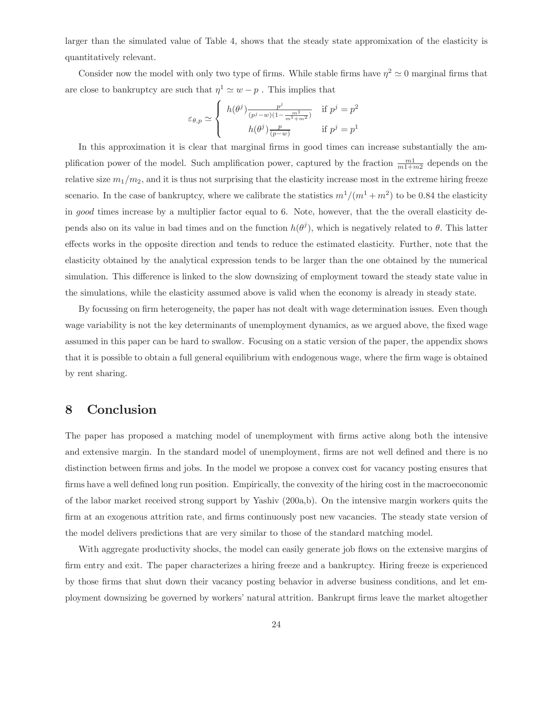larger than the simulated value of Table 4, shows that the steady state appromixation of the elasticity is quantitatively relevant.

Consider now the model with only two type of firms. While stable firms have  $\eta^2 \simeq 0$  marginal firms that are close to bankruptcy are such that  $\eta^1 \simeq w - p$ . This implies that

$$
\varepsilon_{\theta,p} \simeq \begin{cases} h(\theta^j) \frac{p^j}{(p^j - w)(1 - \frac{m^1}{m^1 + m^2})} & \text{if } p^j = p^2\\ h(\theta^j) \frac{p}{(p - w)} & \text{if } p^j = p^1 \end{cases}
$$

In this approximation it is clear that marginal firms in good times can increase substantially the amplification power of the model. Such amplification power, captured by the fraction  $\frac{m_1}{m_1+m_2}$  depends on the relative size  $m_1/m_2$ , and it is thus not surprising that the elasticity increase most in the extreme hiring freeze scenario. In the case of bankruptcy, where we calibrate the statistics  $m^1/(m^1 + m^2)$  to be 0.84 the elasticity in good times increase by a multiplier factor equal to 6. Note, however, that the the overall elasticity depends also on its value in bad times and on the function  $h(\theta^j)$ , which is negatively related to  $\theta$ . This latter effects works in the opposite direction and tends to reduce the estimated elasticity. Further, note that the elasticity obtained by the analytical expression tends to be larger than the one obtained by the numerical simulation. This difference is linked to the slow downsizing of employment toward the steady state value in the simulations, while the elasticity assumed above is valid when the economy is already in steady state.

By focussing on firm heterogeneity, the paper has not dealt with wage determination issues. Even though wage variability is not the key determinants of unemployment dynamics, as we argued above, the fixed wage assumed in this paper can be hard to swallow. Focusing on a static version of the paper, the appendix shows that it is possible to obtain a full general equilibrium with endogenous wage, where the firm wage is obtained by rent sharing.

## 8 Conclusion

The paper has proposed a matching model of unemployment with firms active along both the intensive and extensive margin. In the standard model of unemployment, firms are not well defined and there is no distinction between firms and jobs. In the model we propose a convex cost for vacancy posting ensures that firms have a well defined long run position. Empirically, the convexity of the hiring cost in the macroeconomic of the labor market received strong support by Yashiv (200a,b). On the intensive margin workers quits the firm at an exogenous attrition rate, and firms continuously post new vacancies. The steady state version of the model delivers predictions that are very similar to those of the standard matching model.

With aggregate productivity shocks, the model can easily generate job flows on the extensive margins of firm entry and exit. The paper characterizes a hiring freeze and a bankruptcy. Hiring freeze is experienced by those firms that shut down their vacancy posting behavior in adverse business conditions, and let employment downsizing be governed by workers' natural attrition. Bankrupt firms leave the market altogether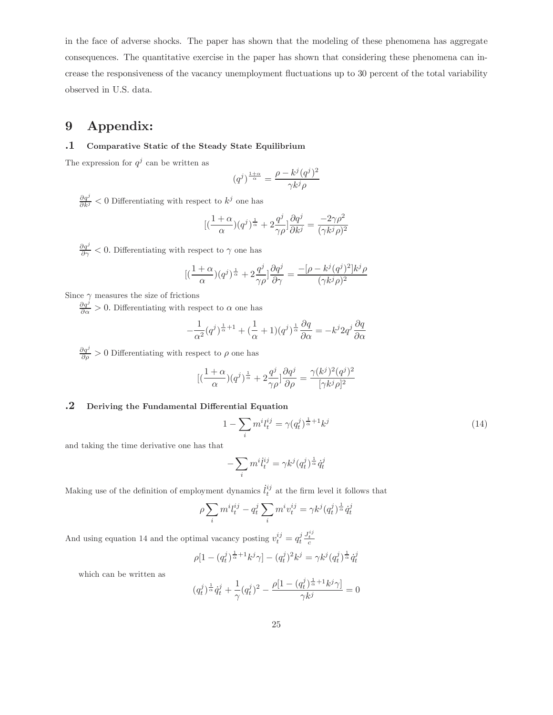in the face of adverse shocks. The paper has shown that the modeling of these phenomena has aggregate consequences. The quantitative exercise in the paper has shown that considering these phenomena can increase the responsiveness of the vacancy unemployment fluctuations up to 30 percent of the total variability observed in U.S. data.

## 9 Appendix:

#### .1 Comparative Static of the Steady State Equilibrium

The expression for  $q^j$  can be written as

$$
(q^j)^{\frac{1+\alpha}{\alpha}} = \frac{\rho - k^j (q^j)^2}{\gamma k^j \rho}
$$

 $\frac{\partial q^j}{\partial k^j}$  < 0 Differentiating with respect to  $k^j$  one has

$$
[(\frac{1+\alpha}{\alpha})(q^j)^{\frac{1}{\alpha}} + 2\frac{q^j}{\gamma\rho}]\frac{\partial q^j}{\partial k^j} = \frac{-2\gamma\rho^2}{(\gamma k^j\rho)^2}
$$

 $\frac{\partial q^j}{\partial \gamma}$  < 0. Differentiating with respect to  $\gamma$  one has

$$
[(\frac{1+\alpha}{\alpha})(q^j)^{\frac{1}{\alpha}} + 2\frac{q^j}{\gamma \rho}]\frac{\partial q^j}{\partial \gamma} = \frac{-[\rho - k^j(q^j)^2]k^j \rho}{(\gamma k^j \rho)^2}
$$

Since  $\gamma$  measures the size of frictions

 $\frac{\partial q^j}{\partial \alpha} > 0$ . Differentiating with respect to  $\alpha$  one has

$$
-\frac{1}{\alpha^2}(q^j)^{\frac{1}{\alpha}+1} + (\frac{1}{\alpha}+1)(q^j)^{\frac{1}{\alpha}}\frac{\partial q}{\partial \alpha} = -k^j 2q^j \frac{\partial q}{\partial \alpha}
$$

 $\frac{\partial q^j}{\partial \rho} > 0$  Differentiating with respect to  $\rho$  one has

$$
[(\frac{1+\alpha}{\alpha})(q^j)^{\frac{1}{\alpha}} + 2\frac{q^j}{\gamma \rho}]\frac{\partial q^j}{\partial \rho} = \frac{\gamma (k^j)^2 (q^j)^2}{[\gamma k^j \rho]^2}
$$

#### .2 Deriving the Fundamental Differential Equation

$$
1 - \sum_{i} m^{i} l_{t}^{ij} = \gamma (q_{t}^{j})^{\frac{1}{\alpha} + 1} k^{j}
$$
\n(14)

and taking the time derivative one has that

$$
-\sum_i m^i \dot{l}^{ij}_t = \gamma k^j (q^j_t)^{\frac{1}{\alpha}} \dot{q}^j_t
$$

Making use of the definition of employment dynamics  $\ddot{i}^{ij}_t$  at the firm level it follows that

$$
\rho \sum_{i} m^i l_t^{ij} - q_t^j \sum_i m^i v_t^{ij} = \gamma k^j (q_t^j)^{\frac{1}{\alpha}} \dot{q}_t^j
$$

And using equation 14 and the optimal vacancy posting  $v_t^{ij} = q_t^j \frac{J_t^{ij}}{c}$ 

$$
\rho[1 - (q_t^j)^{\frac{1}{\alpha} + 1} k^j \gamma] - (q_t^j)^2 k^j = \gamma k^j (q_t^j)^{\frac{1}{\alpha}} \dot{q}_t^j
$$

which can be written as

$$
(q_t^j)^{\frac{1}{\alpha}} \dot{q}_t^j + \frac{1}{\gamma} (q_t^j)^2 - \frac{\rho [1 - (q_t^j)^{\frac{1}{\alpha} + 1} k^j \gamma]}{\gamma k^j} = 0
$$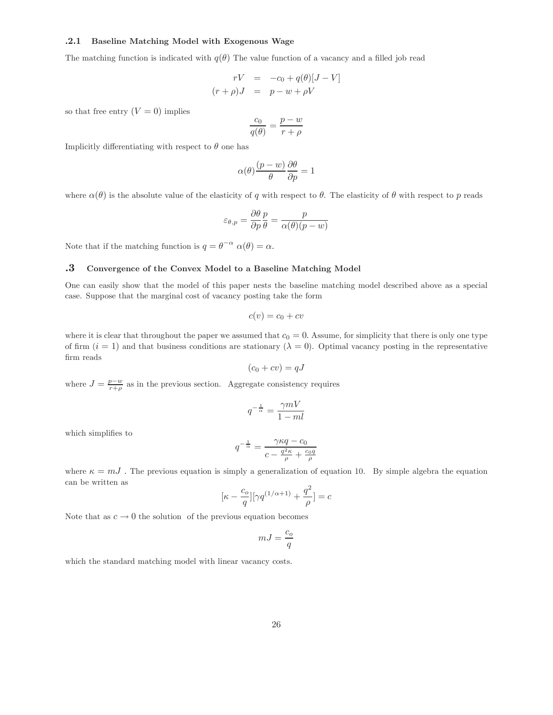#### .2.1 Baseline Matching Model with Exogenous Wage

The matching function is indicated with  $q(\theta)$  The value function of a vacancy and a filled job read

$$
rV = -c_0 + q(\theta)[J - V]
$$

$$
(r + \rho)J = p - w + \rho V
$$

so that free entry  $(V = 0)$  implies

$$
\frac{c_0}{q(\theta)} = \frac{p - w}{r + \rho}
$$

Implicitly differentiating with respect to  $\theta$  one has

$$
\alpha(\theta) \frac{(p-w)}{\theta} \frac{\partial \theta}{\partial p} = 1
$$

where  $\alpha(\theta)$  is the absolute value of the elasticity of q with respect to  $\theta$ . The elasticity of  $\theta$  with respect to p reads

$$
\varepsilon_{\theta,p} = \frac{\partial \theta}{\partial p} \frac{p}{\theta} = \frac{p}{\alpha(\theta)(p-w)}
$$

Note that if the matching function is  $q = \theta^{-\alpha} \alpha(\theta) = \alpha$ .

#### .3 Convergence of the Convex Model to a Baseline Matching Model

One can easily show that the model of this paper nests the baseline matching model described above as a special case. Suppose that the marginal cost of vacancy posting take the form

$$
c(v) = c_0 + cv
$$

where it is clear that throughout the paper we assumed that  $c_0 = 0$ . Assume, for simplicity that there is only one type of firm  $(i = 1)$  and that business conditions are stationary  $(\lambda = 0)$ . Optimal vacancy posting in the representative firm reads

$$
(c_0 + cv) = qJ
$$

where  $J = \frac{p-w}{r+\rho}$  as in the previous section. Aggregate consistency requires

$$
q^{-\frac{1}{\alpha}} = \frac{\gamma mV}{1 - ml}
$$

which simplifies to

$$
q^{-\frac{1}{\alpha}} = \frac{\gamma \kappa q - c_0}{c - \frac{q^2 \kappa}{\rho} + \frac{c_0 q}{\rho}}
$$

where  $\kappa = mJ$ . The previous equation is simply a generalization of equation 10. By simple algebra the equation can be written as

$$
[\kappa-\frac{c_o}{q}][\gamma q^{(1/\alpha+1)}+\frac{q^2}{\rho}]=c
$$

Note that as  $c \to 0$  the solution of the previous equation becomes

$$
mJ = \frac{c_o}{q}
$$

which the standard matching model with linear vacancy costs.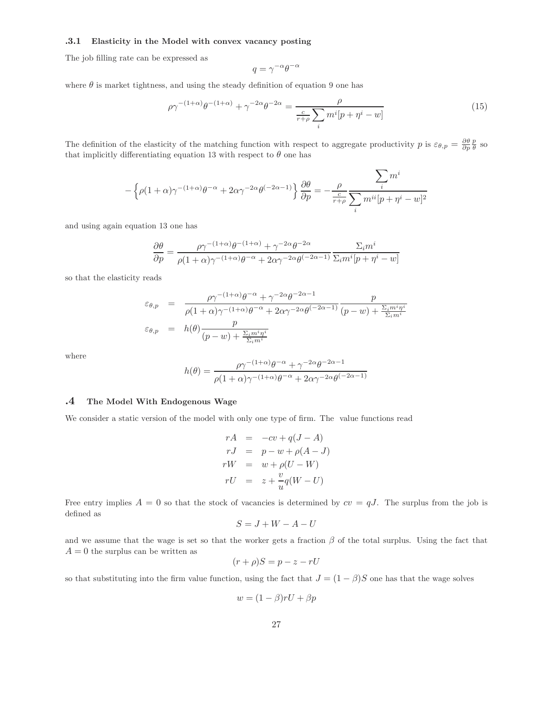#### .3.1 Elasticity in the Model with convex vacancy posting

The job filling rate can be expressed as

$$
q = \gamma^{-\alpha} \theta^{-\alpha}
$$

where  $\theta$  is market tightness, and using the steady definition of equation 9 one has

$$
\rho \gamma^{-(1+\alpha)} \theta^{-(1+\alpha)} + \gamma^{-2\alpha} \theta^{-2\alpha} = \frac{\rho}{\frac{c}{r+\rho} \sum_{i} m^i [p + \eta^i - w]}
$$
(15)

The definition of the elasticity of the matching function with respect to aggregate productivity p is  $\varepsilon_{\theta,p} = \frac{\partial \theta}{\partial p} \frac{p}{\theta}$  so that implicitly differentiating equation 13 with respect to  $\theta$  one has

$$
-\left\{\rho(1+\alpha)\gamma^{-(1+\alpha)}\theta^{-\alpha}+2\alpha\gamma^{-2\alpha}\theta^{(-2\alpha-1)}\right\}\frac{\partial\theta}{\partial p}=-\frac{\rho}{\frac{c}{r+\rho}}\frac{\displaystyle\sum_{i}m^{i}}{\displaystyle\sum_{i}m^{ii}[p+\eta^{i}-w]^{2}}
$$

and using again equation 13 one has

$$
\frac{\partial \theta}{\partial p} = \frac{\rho \gamma^{-(1+\alpha)} \theta^{-(1+\alpha)} + \gamma^{-2\alpha} \theta^{-2\alpha}}{\rho (1+\alpha) \gamma^{-(1+\alpha)} \theta^{-\alpha} + 2\alpha \gamma^{-2\alpha} \theta^{(-2\alpha-1)}} \frac{\Sigma_i m^i}{\Sigma_i m^i [p + \eta^i - w]}
$$

so that the elasticity reads

$$
\varepsilon_{\theta,p} = \frac{\rho \gamma^{-(1+\alpha)} \theta^{-\alpha} + \gamma^{-2\alpha} \theta^{-2\alpha-1}}{\rho(1+\alpha)\gamma^{-(1+\alpha)} \theta^{-\alpha} + 2\alpha \gamma^{-2\alpha} \theta^{(-2\alpha-1)}} \frac{p}{(p-w) + \frac{\Sigma_i m^i \eta^i}{\Sigma_i m^i}}
$$
  

$$
\varepsilon_{\theta,p} = h(\theta) \frac{p}{(p-w) + \frac{\Sigma_i m^i \eta^i}{\Sigma_i m^i}}
$$

where

$$
h(\theta) = \frac{\rho \gamma^{-(1+\alpha)} \theta^{-\alpha} + \gamma^{-2\alpha} \theta^{-2\alpha - 1}}{\rho(1+\alpha)\gamma^{-(1+\alpha)} \theta^{-\alpha} + 2\alpha \gamma^{-2\alpha} \theta^{(-2\alpha - 1)}}
$$

#### .4 The Model With Endogenous Wage

We consider a static version of the model with only one type of firm. The value functions read

$$
rA = -cv + q(J - A)
$$
  
\n
$$
rJ = p - w + \rho(A - J)
$$
  
\n
$$
rW = w + \rho(U - W)
$$
  
\n
$$
rU = z + \frac{v}{u}q(W - U)
$$

Free entry implies  $A = 0$  so that the stock of vacancies is determined by  $cv = qJ$ . The surplus from the job is defined as

$$
S = J + W - A - U
$$

and we assume that the wage is set so that the worker gets a fraction  $\beta$  of the total surplus. Using the fact that  $A = 0$  the surplus can be written as

$$
(r+\rho)S = p - z - rU
$$

so that substituting into the firm value function, using the fact that  $J = (1 - \beta)S$  one has that the wage solves

$$
w = (1 - \beta)rU + \beta p
$$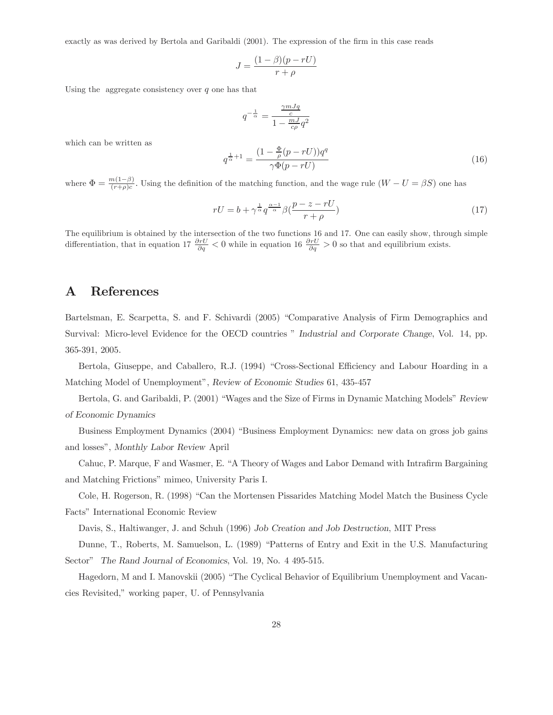exactly as was derived by Bertola and Garibaldi (2001). The expression of the firm in this case reads

$$
J = \frac{(1 - \beta)(p - rU)}{r + \rho}
$$

Using the aggregate consistency over  $q$  one has that

$$
q^{-\frac{1}{\alpha}} = \frac{\frac{\gamma m J q}{c}}{1 - \frac{m J}{c \rho} q^2}
$$

which can be written as

$$
q^{\frac{1}{\alpha}+1} = \frac{(1 - \frac{\Phi}{\rho}(p - rU))q^q}{\gamma \Phi(p - rU)}\tag{16}
$$

where  $\Phi = \frac{m(1-\beta)}{(r+\rho)c}$ . Using the definition of the matching function, and the wage rule  $(W-U = \beta S)$  one has

$$
rU = b + \gamma^{\frac{1}{\alpha}} q^{\frac{\alpha - 1}{\alpha}} \beta(\frac{p - z - rU}{r + \rho})
$$
\n(17)

The equilibrium is obtained by the intersection of the two functions 16 and 17. One can easily show, through simple differentiation, that in equation 17  $\frac{\partial rU}{\partial q} < 0$  while in equation 16  $\frac{\partial rU}{\partial q} > 0$  so that and equilibrium exists.

## A References

Bartelsman, E. Scarpetta, S. and F. Schivardi (2005) "Comparative Analysis of Firm Demographics and Survival: Micro-level Evidence for the OECD countries " Industrial and Corporate Change, Vol. 14, pp. 365-391, 2005.

Bertola, Giuseppe, and Caballero, R.J. (1994) "Cross-Sectional Efficiency and Labour Hoarding in a Matching Model of Unemployment", Review of Economic Studies 61, 435-457

Bertola, G. and Garibaldi, P. (2001) "Wages and the Size of Firms in Dynamic Matching Models" Review of Economic Dynamics

Business Employment Dynamics (2004) "Business Employment Dynamics: new data on gross job gains and losses", Monthly Labor Review April

Cahuc, P. Marque, F and Wasmer, E. "A Theory of Wages and Labor Demand with Intrafirm Bargaining and Matching Frictions" mimeo, University Paris I.

Cole, H. Rogerson, R. (1998) "Can the Mortensen Pissarides Matching Model Match the Business Cycle Facts" International Economic Review

Davis, S., Haltiwanger, J. and Schuh (1996) Job Creation and Job Destruction, MIT Press

Dunne, T., Roberts, M. Samuelson, L. (1989) "Patterns of Entry and Exit in the U.S. Manufacturing Sector" The Rand Journal of Economics, Vol. 19, No. 4 495-515.

Hagedorn, M and I. Manovskii (2005) "The Cyclical Behavior of Equilibrium Unemployment and Vacancies Revisited," working paper, U. of Pennsylvania